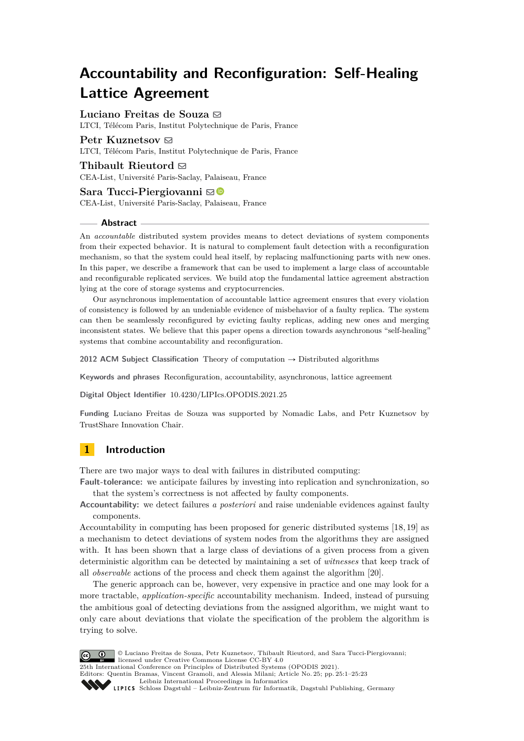# **Accountability and Reconfiguration: Self-Healing Lattice Agreement**

# **Luciano Freitas de Souza** [!](mailto:lfreitas@telecom-paris.fr)

LTCI, Télécom Paris, Institut Polytechnique de Paris, France

# **Petr Kuznetsov** ⊠

LTCI, Télécom Paris, Institut Polytechnique de Paris, France

# **Thibault Rieutord** [!](mailto:thibault.rieutord@cea.fr)

CEA-List, Université Paris-Saclay, Palaiseau, France

# **Sara Tucci-Piergiovanni** ⊠<sup>®</sup> CEA-List, Université Paris-Saclay, Palaiseau, France

#### **Abstract**

An *accountable* distributed system provides means to detect deviations of system components from their expected behavior. It is natural to complement fault detection with a reconfiguration mechanism, so that the system could heal itself, by replacing malfunctioning parts with new ones. In this paper, we describe a framework that can be used to implement a large class of accountable and reconfigurable replicated services. We build atop the fundamental lattice agreement abstraction lying at the core of storage systems and cryptocurrencies.

Our asynchronous implementation of accountable lattice agreement ensures that every violation of consistency is followed by an undeniable evidence of misbehavior of a faulty replica. The system can then be seamlessly reconfigured by evicting faulty replicas, adding new ones and merging inconsistent states. We believe that this paper opens a direction towards asynchronous "self-healing" systems that combine accountability and reconfiguration.

**2012 ACM Subject Classification** Theory of computation  $\rightarrow$  Distributed algorithms

**Keywords and phrases** Reconfiguration, accountability, asynchronous, lattice agreement

**Digital Object Identifier** [10.4230/LIPIcs.OPODIS.2021.25](https://doi.org/10.4230/LIPIcs.OPODIS.2021.25)

**Funding** Luciano Freitas de Souza was supported by Nomadic Labs, and Petr Kuznetsov by TrustShare Innovation Chair.

# **1 Introduction**

There are two major ways to deal with failures in distributed computing:

**Fault-tolerance:** we anticipate failures by investing into replication and synchronization, so that the system's correctness is not affected by faulty components.

**Accountability:** we detect failures *a posteriori* and raise undeniable evidences against faulty components.

Accountability in computing has been proposed for generic distributed systems [\[18,](#page-16-0) [19\]](#page-16-1) as a mechanism to detect deviations of system nodes from the algorithms they are assigned with. It has been shown that a large class of deviations of a given process from a given deterministic algorithm can be detected by maintaining a set of *witnesses* that keep track of all *observable* actions of the process and check them against the algorithm [\[20\]](#page-16-2).

The generic approach can be, however, very expensive in practice and one may look for a more tractable, *application-specific* accountability mechanism. Indeed, instead of pursuing the ambitious goal of detecting deviations from the assigned algorithm, we might want to only care about deviations that violate the specification of the problem the algorithm is trying to solve.



© Luciano Freitas de Souza, Petr Kuznetsov, Thibault Rieutord, and Sara Tucci-Piergiovanni; licensed under Creative Commons License CC-BY 4.0

25th International Conference on Principles of Distributed Systems (OPODIS 2021). Editors: Quentin Bramas, Vincent Gramoli, and Alessia Milani; Article No. 25; pp. 25:1–25:23

[Leibniz International Proceedings in Informatics](https://www.dagstuhl.de/lipics/)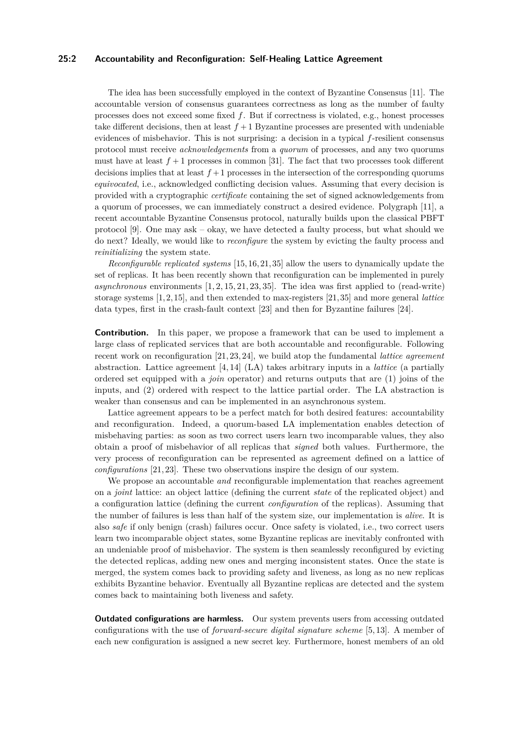#### **25:2 Accountability and Reconfiguration: Self-Healing Lattice Agreement**

The idea has been successfully employed in the context of Byzantine Consensus [\[11\]](#page-15-0). The accountable version of consensus guarantees correctness as long as the number of faulty processes does not exceed some fixed *f*. But if correctness is violated, e.g., honest processes take different decisions, then at least  $f + 1$  Byzantine processes are presented with undeniable evidences of misbehavior. This is not surprising: a decision in a typical *f*-resilient consensus protocol must receive *acknowledgements* from a *quorum* of processes, and any two quorums must have at least  $f + 1$  processes in common [\[31\]](#page-16-3). The fact that two processes took different decisions implies that at least  $f + 1$  processes in the intersection of the corresponding quorums *equivocated*, i.e., acknowledged conflicting decision values. Assuming that every decision is provided with a cryptographic *certificate* containing the set of signed acknowledgements from a quorum of processes, we can immediately construct a desired evidence. Polygraph [\[11\]](#page-15-0), a recent accountable Byzantine Consensus protocol, naturally builds upon the classical PBFT protocol [\[9\]](#page-15-1). One may ask – okay, we have detected a faulty process, but what should we do next? Ideally, we would like to *reconfigure* the system by evicting the faulty process and *reinitializing* the system state.

*Reconfigurable replicated systems* [\[15,](#page-16-4) [16,](#page-16-5) [21,](#page-16-6) [35\]](#page-17-0) allow the users to dynamically update the set of replicas. It has been recently shown that reconfiguration can be implemented in purely *asynchronous* environments [\[1,](#page-15-2) [2,](#page-15-3) [15,](#page-16-4) [21,](#page-16-6) [23,](#page-16-7) [35\]](#page-17-0). The idea was first applied to (read-write) storage systems [\[1,](#page-15-2) [2,](#page-15-3) [15\]](#page-16-4), and then extended to max-registers [\[21,](#page-16-6) [35\]](#page-17-0) and more general *lattice* data types, first in the crash-fault context [\[23\]](#page-16-7) and then for Byzantine failures [\[24\]](#page-16-8).

**Contribution.** In this paper, we propose a framework that can be used to implement a large class of replicated services that are both accountable and reconfigurable. Following recent work on reconfiguration [\[21,](#page-16-6) [23,](#page-16-7) [24\]](#page-16-8), we build atop the fundamental *lattice agreement* abstraction. Lattice agreement [\[4,](#page-15-4) [14\]](#page-16-9) (LA) takes arbitrary inputs in a *lattice* (a partially ordered set equipped with a *join* operator) and returns outputs that are (1) joins of the inputs, and (2) ordered with respect to the lattice partial order. The LA abstraction is weaker than consensus and can be implemented in an asynchronous system.

Lattice agreement appears to be a perfect match for both desired features: accountability and reconfiguration. Indeed, a quorum-based LA implementation enables detection of misbehaving parties: as soon as two correct users learn two incomparable values, they also obtain a proof of misbehavior of all replicas that *signed* both values. Furthermore, the very process of reconfiguration can be represented as agreement defined on a lattice of *configurations* [\[21,](#page-16-6) [23\]](#page-16-7). These two observations inspire the design of our system.

We propose an accountable *and* reconfigurable implementation that reaches agreement on a *joint* lattice: an object lattice (defining the current *state* of the replicated object) and a configuration lattice (defining the current *configuration* of the replicas). Assuming that the number of failures is less than half of the system size, our implementation is *alive*. It is also *safe* if only benign (crash) failures occur. Once safety is violated, i.e., two correct users learn two incomparable object states, some Byzantine replicas are inevitably confronted with an undeniable proof of misbehavior. The system is then seamlessly reconfigured by evicting the detected replicas, adding new ones and merging inconsistent states. Once the state is merged, the system comes back to providing safety and liveness, as long as no new replicas exhibits Byzantine behavior. Eventually all Byzantine replicas are detected and the system comes back to maintaining both liveness and safety.

**Outdated configurations are harmless.** Our system prevents users from accessing outdated configurations with the use of *forward-secure digital signature scheme* [\[5,](#page-15-5) [13\]](#page-16-10). A member of each new configuration is assigned a new secret key. Furthermore, honest members of an old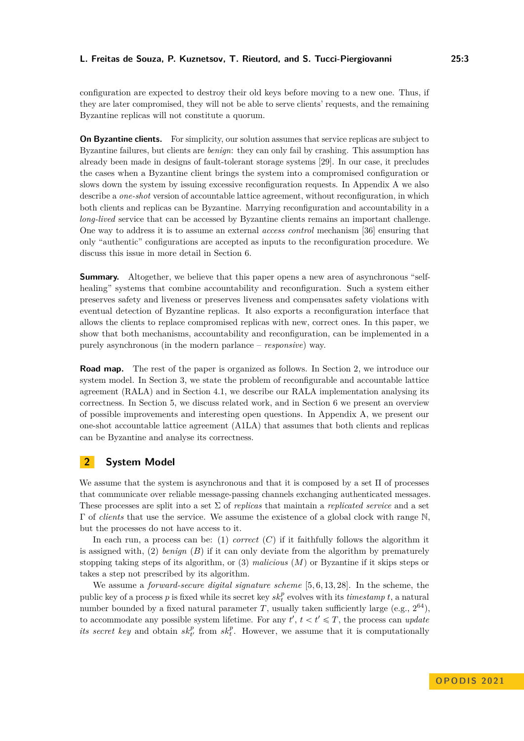configuration are expected to destroy their old keys before moving to a new one. Thus, if they are later compromised, they will not be able to serve clients' requests, and the remaining Byzantine replicas will not constitute a quorum.

**On Byzantine clients.** For simplicity, our solution assumes that service replicas are subject to Byzantine failures, but clients are *benign*: they can only fail by crashing. This assumption has already been made in designs of fault-tolerant storage systems [\[29\]](#page-16-11). In our case, it precludes the cases when a Byzantine client brings the system into a compromised configuration or slows down the system by issuing excessive reconfiguration requests. In Appendix [A](#page-17-1) we also describe a *one-shot* version of accountable lattice agreement, without reconfiguration, in which both clients and replicas can be Byzantine. Marrying reconfiguration and accountability in a *long-lived* service that can be accessed by Byzantine clients remains an important challenge. One way to address it is to assume an external *access control* mechanism [\[36\]](#page-17-2) ensuring that only "authentic" configurations are accepted as inputs to the reconfiguration procedure. We discuss this issue in more detail in Section [6.](#page-14-0)

**Summary.** Altogether, we believe that this paper opens a new area of asynchronous "selfhealing" systems that combine accountability and reconfiguration. Such a system either preserves safety and liveness or preserves liveness and compensates safety violations with eventual detection of Byzantine replicas. It also exports a reconfiguration interface that allows the clients to replace compromised replicas with new, correct ones. In this paper, we show that both mechanisms, accountability and reconfiguration, can be implemented in a purely asynchronous (in the modern parlance – *responsive*) way.

**Road map.** The rest of the paper is organized as follows. In Section [2,](#page-2-0) we introduce our system model. In Section [3,](#page-3-0) we state the problem of reconfigurable and accountable lattice agreement (RALA) and in Section [4.1,](#page-5-0) we describe our RALA implementation analysing its correctness. In Section [5,](#page-12-0) we discuss related work, and in Section [6](#page-14-0) we present an overview of possible improvements and interesting open questions. In Appendix [A,](#page-17-1) we present our one-shot accountable lattice agreement (A1LA) that assumes that both clients and replicas can be Byzantine and analyse its correctness.

# <span id="page-2-0"></span>**2 System Model**

We assume that the system is asynchronous and that it is composed by a set  $\Pi$  of processes that communicate over reliable message-passing channels exchanging authenticated messages. These processes are split into a set Σ of *replicas* that maintain a *replicated service* and a set Γ of *clients* that use the service. We assume the existence of a global clock with range N, but the processes do not have access to it.

In each run, a process can be: (1) *correct*  $(C)$  if it faithfully follows the algorithm it is assigned with, (2) *benign* (*B*) if it can only deviate from the algorithm by prematurely stopping taking steps of its algorithm, or (3) *malicious* (*M*) or Byzantine if it skips steps or takes a step not prescribed by its algorithm.

We assume a *forward-secure digital signature scheme* [\[5,](#page-15-5) [6,](#page-15-6) [13,](#page-16-10) [28\]](#page-16-12). In the scheme, the public key of a process  $p$  is fixed while its secret key  $sk_t^p$  evolves with its *timestamp*  $t$ , a natural number bounded by a fixed natural parameter  $T$ , usually taken sufficiently large (e.g.,  $2^{64}$ ), to accommodate any possible system lifetime. For any  $t'$ ,  $t < t' \leq T$ , the process can *update its secret key* and obtain  $sk_t^p$  from  $sk_t^p$ . However, we assume that it is computationally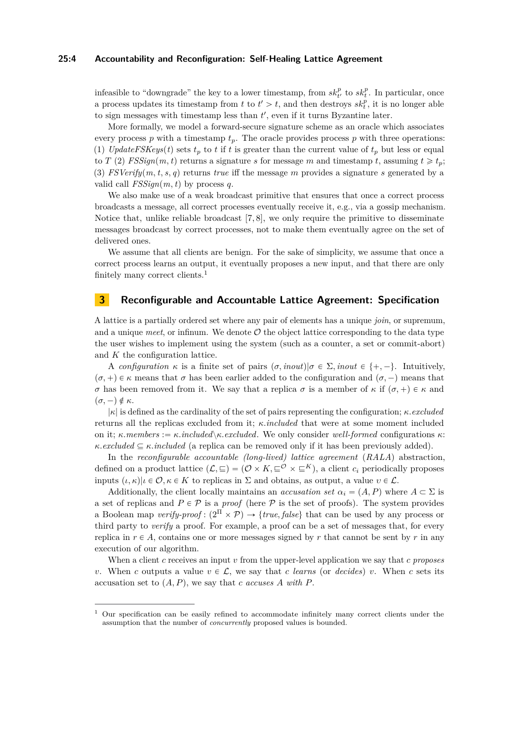### **25:4 Accountability and Reconfiguration: Self-Healing Lattice Agreement**

infeasible to "downgrade" the key to a lower timestamp, from  $sk_t^p$  to  $sk_t^p$ . In particular, once a process updates its timestamp from  $t$  to  $t' > t$ , and then destroys  $sk_t^p$ , it is no longer able to sign messages with timestamp less than  $t'$ , even if it turns Byzantine later.

More formally, we model a forward-secure signature scheme as an oracle which associates every process  $p$  with a timestamp  $t_p$ . The oracle provides process  $p$  with three operations: (1) *UpdateFSKeys*(*t*) sets  $t_p$  to *t* if *t* is greater than the current value of  $t_p$  but less or equal to *T* (2)  $FSSign(m, t)$  returns a signature *s* for message *m* and timestamp *t*, assuming  $t \geq t_p$ ; (3) *FSVerify* $(m, t, s, q)$  returns *true* iff the message *m* provides a signature *s* generated by a valid call  $FSSign(m, t)$  by process *q*.

We also make use of a weak broadcast primitive that ensures that once a correct process broadcasts a message, all correct processes eventually receive it, e.g., via a gossip mechanism. Notice that, unlike reliable broadcast  $[7, 8]$  $[7, 8]$ , we only require the primitive to disseminate messages broadcast by correct processes, not to make them eventually agree on the set of delivered ones.

We assume that all clients are benign. For the sake of simplicity, we assume that once a correct process learns an output, it eventually proposes a new input, and that there are only finitely many correct clients.<sup>[1](#page-3-1)</sup>

# <span id="page-3-0"></span>**3 Reconfigurable and Accountable Lattice Agreement: Specification**

A lattice is a partially ordered set where any pair of elements has a unique *join*, or supremum, and a unique *meet*, or infinum. We denote  $\mathcal{O}$  the object lattice corresponding to the data type the user wishes to implement using the system (such as a counter, a set or commit-abort) and *K* the configuration lattice.

A *configuration*  $\kappa$  is a finite set of pairs  $(\sigma, inout)|\sigma \in \Sigma$ , *inout*  $\in \{+, -\}$ . Intuitively,  $(\sigma, +) \in \kappa$  means that  $\sigma$  has been earlier added to the configuration and  $(\sigma, -)$  means that *σ* has been removed from it. We say that a replica *σ* is a member of  $\kappa$  if  $(\sigma, +) \in \kappa$  and  $(\sigma, -) \notin \kappa$ .

|*κ*| is defined as the cardinality of the set of pairs representing the configuration; *κ.excluded* returns all the replicas excluded from it; *κ.included* that were at some moment included on it;  $\kappa$ *members* :=  $\kappa$ *included* $\&\kappa$ *excluded*. We only consider *well-formed* configurations  $\kappa$ : *κ. excluded*  $\subseteq$  *κ. included* (a replica can be removed only if it has been previously added).

In the *reconfigurable accountable (long-lived) lattice agreement* (*RALA*) abstraction, defined on a product lattice  $(L, \underline{\square}) = (\mathcal{O} \times K, \underline{\square}^{\mathcal{O}} \times \underline{\square}^K)$ , a client  $c_i$  periodically proposes inputs  $(\iota, \kappa)|_{\iota} \in \mathcal{O}, \kappa \in K$  to replicas in  $\Sigma$  and obtains, as output, a value  $v \in \mathcal{L}$ .

Additionally, the client locally maintains an *accusation set*  $\alpha_i = (A, P)$  where  $A \subset \Sigma$  is a set of replicas and  $P \in \mathcal{P}$  is a *proof* (here  $\mathcal P$  is the set of proofs). The system provides a Boolean map *verify-proof* :  $(2^{\Pi} \times \mathcal{P}) \rightarrow \{true, false\}$  that can be used by any process or third party to *verify* a proof. For example, a proof can be a set of messages that, for every replica in  $r \in A$ , contains one or more messages signed by r that cannot be sent by r in any execution of our algorithm.

When a client *c* receives an input *v* from the upper-level application we say that *c proposes v*. When *c* outputs a value  $v \in \mathcal{L}$ , we say that *c learns* (or *decides*) *v*. When *c* sets its accusation set to  $(A, P)$ , we say that *c accuses A with P*.

<span id="page-3-1"></span><sup>1</sup> Our specification can be easily refined to accommodate infinitely many correct clients under the assumption that the number of *concurrently* proposed values is bounded.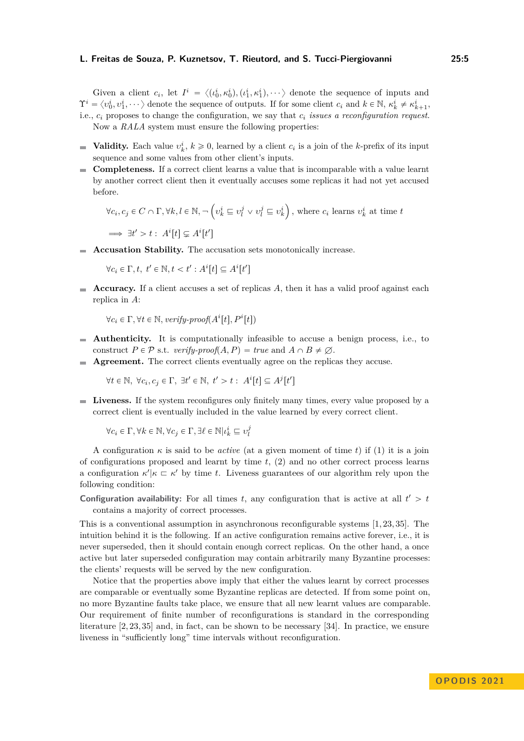Given a client  $c_i$ , let  $I^i = \langle (i_0^i, \kappa_0^i), (i_1^i, \kappa_1^i), \cdots \rangle$  denote the sequence of inputs and  $\Upsilon^i = \langle v_0^i, v_1^i, \dots \rangle$  denote the sequence of outputs. If for some client  $c_i$  and  $k \in \mathbb{N}$ ,  $\kappa_k^i \neq \kappa_{k+1}^i$ , i.e., *c<sup>i</sup>* proposes to change the configuration, we say that *c<sup>i</sup> issues a reconfiguration request*. Now a *RALA* system must ensure the following properties:

- **Validity.** Each value  $v_k^i$ ,  $k \ge 0$ , learned by a client  $c_i$  is a join of the *k*-prefix of its input sequence and some values from other client's inputs.
- **Completeness.** If a correct client learns a value that is incomparable with a value learnt  $\mathbb{R}^2$ by another correct client then it eventually accuses some replicas it had not yet accused before.

$$
\forall c_i, c_j \in C \cap \Gamma, \forall k, l \in \mathbb{N}, \neg \left(v_k^i \sqsubseteq v_l^j \lor v_l^j \sqsubseteq v_k^i\right), \text{ where } c_i \text{ learns } v_k^i \text{ at time } t
$$

 $\implies \exists t' > t : A^i[t] \subsetneq A^i[t']$ 

**Accusation Stability.** The accusation sets monotonically increase.  $\rightarrow$ 

 $\forall c_i \in \Gamma, t, t' \in \mathbb{N}, t < t' : A^i[t] \subseteq A^i[t']$ 

**Accuracy.** If a client accuses a set of replicas *A*, then it has a valid proof against each replica in *A*:

 $\forall c_i \in \Gamma, \forall t \in \mathbb{N}, \text{verify-proof}(A^i[t], P^i[t])$ 

- **Authenticity.** It is computationally infeasible to accuse a benign process, i.e., to  $\rightarrow$ construct  $P \in \mathcal{P}$  s.t. *verify-proof*(*A, P*) = *true* and  $A \cap B \neq \emptyset$ .
- Agreement. The correct clients eventually agree on the replicas they accuse.

 $\forall t \in \mathbb{N}, \ \forall c_i, c_j \in \Gamma, \ \exists t' \in \mathbb{N}, \ t' > t : \ A^i[t] \subseteq A^j[t']$ 

**Liveness.** If the system reconfigures only finitely many times, every value proposed by a correct client is eventually included in the value learned by every correct client.

 $\forall c_i \in \Gamma, \forall k \in \mathbb{N}, \forall c_j \in \Gamma, \exists \ell \in \mathbb{N} | \iota^i_k \sqsubseteq \nu^j_i$ 

A configuration  $\kappa$  is said to be *active* (at a given moment of time *t*) if (1) it is a join of configurations proposed and learnt by time *t*, (2) and no other correct process learns a configuration  $\kappa' | \kappa \subset \kappa'$  by time *t*. Liveness guarantees of our algorithm rely upon the following condition:

**Configuration availability:** For all times  $t$ , any configuration that is active at all  $t' > t$ contains a majority of correct processes.

This is a conventional assumption in asynchronous reconfigurable systems [\[1,](#page-15-2) [23,](#page-16-7) [35\]](#page-17-0). The intuition behind it is the following. If an active configuration remains active forever, i.e., it is never superseded, then it should contain enough correct replicas. On the other hand, a once active but later superseded configuration may contain arbitrarily many Byzantine processes: the clients' requests will be served by the new configuration.

Notice that the properties above imply that either the values learnt by correct processes are comparable or eventually some Byzantine replicas are detected. If from some point on, no more Byzantine faults take place, we ensure that all new learnt values are comparable. Our requirement of finite number of reconfigurations is standard in the corresponding literature [\[2,](#page-15-3) [23,](#page-16-7) [35\]](#page-17-0) and, in fact, can be shown to be necessary [\[34\]](#page-16-13). In practice, we ensure liveness in "sufficiently long" time intervals without reconfiguration.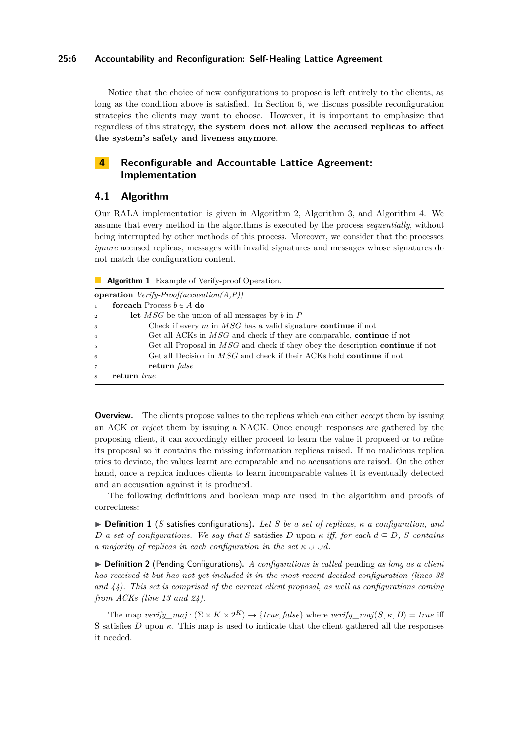# **25:6 Accountability and Reconfiguration: Self-Healing Lattice Agreement**

Notice that the choice of new configurations to propose is left entirely to the clients, as long as the condition above is satisfied. In Section [6,](#page-14-0) we discuss possible reconfiguration strategies the clients may want to choose. However, it is important to emphasize that regardless of this strategy, **the system does not allow the accused replicas to affect the system's safety and liveness anymore**.

# **4 Reconfigurable and Accountable Lattice Agreement: Implementation**

# <span id="page-5-0"></span>**4.1 Algorithm**

Our RALA implementation is given in Algorithm [2,](#page-6-0) Algorithm [3,](#page-7-0) and Algorithm [4.](#page-8-0) We assume that every method in the algorithms is executed by the process *sequentially*, without being interrupted by other methods of this process. Moreover, we consider that the processes *ignore* accused replicas, messages with invalid signatures and messages whose signatures do not match the configuration content.

**Algorithm 1** Example of Verify-proof Operation.

| <b>operation</b> Verify-Proof(accusation( $A, P$ )) |                                                                                       |
|-----------------------------------------------------|---------------------------------------------------------------------------------------|
| $\overline{1}$                                      | foreach Process $b \in A$ do                                                          |
| $\overline{2}$                                      | <b>let</b> $MSG$ be the union of all messages by b in P                               |
| 3                                                   | Check if every $m$ in $MSG$ has a valid signature <b>continue</b> if not              |
| $\overline{4}$                                      | Get all ACKs in MSG and check if they are comparable, <b>continue</b> if not          |
| -5                                                  | Get all Proposal in MSG and check if they obey the description <b>continue</b> if not |
| 6                                                   | Get all Decision in $MSG$ and check if their ACKs hold <b>continue</b> if not         |
| $\overline{7}$                                      | return <i>false</i>                                                                   |
| $\mathbf{\mathsf{R}}$                               | return true                                                                           |

<span id="page-5-1"></span>**Overview.** The clients propose values to the replicas which can either *accept* them by issuing an ACK or *reject* them by issuing a NACK. Once enough responses are gathered by the proposing client, it can accordingly either proceed to learn the value it proposed or to refine its proposal so it contains the missing information replicas raised. If no malicious replica tries to deviate, the values learnt are comparable and no accusations are raised. On the other hand, once a replica induces clients to learn incomparable values it is eventually detected and an accusation against it is produced.

The following definitions and boolean map are used in the algorithm and proofs of correctness:

▶ **Definition 1** (*S* satisfies configurations)**.** *Let S be a set of replicas, κ a configuration, and D a* set of configurations. We say that *S* satisfies *D* upon  $\kappa$  *iff, for each*  $d \subseteq D$ *, S contains a majority of replicas in each configuration in the set*  $\kappa \cup \mathcal{A}$ *.* 

▶ **Definition 2** (Pending Configurations)**.** *A configurations is called* pending *as long as a client has received it but has not yet included it in the most recent decided configuration (lines [38](#page-7-1) and [44\)](#page-7-2). This set is comprised of the current client proposal, as well as configurations coming from ACKs (line [13](#page-6-1) and [24\)](#page-6-2).*

The map  $\text{verify\_maj}: (\Sigma \times K \times 2^K) \rightarrow \{\text{true}, \text{false}\}$  where  $\text{verify\_maj}(S, \kappa, D) = \text{true}$  iff S satisfies  $D$  upon  $\kappa$ . This map is used to indicate that the client gathered all the responses it needed.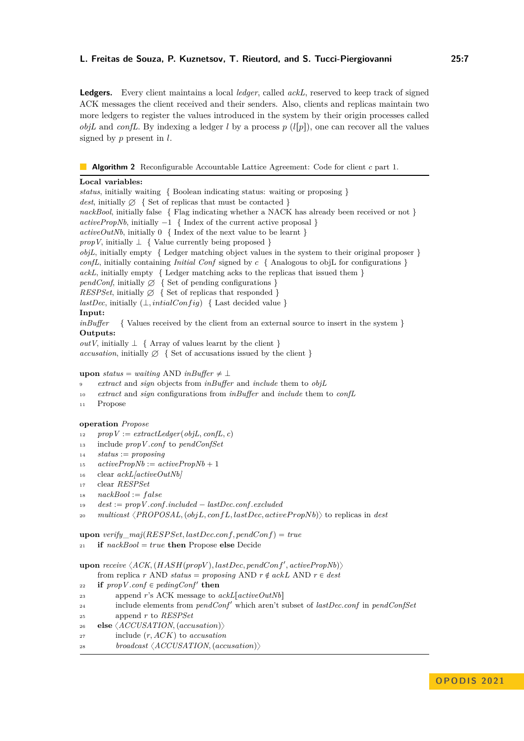**Ledgers.** Every client maintains a local *ledger*, called *ackL*, reserved to keep track of signed ACK messages the client received and their senders. Also, clients and replicas maintain two more ledgers to register the values introduced in the system by their origin processes called *objL* and *confL*. By indexing a ledger *l* by a process  $p(l[p])$ , one can recover all the values signed by *p* present in *l*.

**Algorithm 2** Reconfigurable Accountable Lattice Agreement: Code for client *c* part 1.

# **Local variables:** *status*, initially waiting { Boolean indicating status: waiting or proposing } *dest*, initially  $\varnothing$  { Set of replicas that must be contacted } nackBool, initially false { Flag indicating whether a NACK has already been received or not }  $activePropNb$ , initially  $-1$  { Index of the current active proposal }  $activeOutNb$ , initially  $0 \{$ Index of the next value to be learnt  $\}$ *propV*, initially  $\perp$  { Value currently being proposed } *objL*, initially empty { Ledger matching object values in the system to their original proposer } *confL*, initially containing *Initial Conf* signed by *c* { Analogous to objL for configurations }  $ackL$ , initially empty  $\{$  Ledger matching acks to the replicas that issued them  $\}$  $pendConf$ , initially  $\varnothing$  { Set of pending configurations } *RESPSet*, initially  $\varnothing$  { Set of replicas that responded }  $lastDec$ , initially  $(\bot, initialConfig)$  { Last decided value } **Input:** *inBuffer* { Values received by the client from an external source to insert in the system } **Outputs:** *outV*, initially  $\perp$  { Array of values learnt by the client } *accusation*, initially  $\varnothing$  { Set of accusations issued by the client } **upon** *status* = *waiting* AND *inBuffer*  $\neq \perp$ <sup>9</sup> *extract* and *sign* objects from *inBuffer* and *include* them to *objL* <sup>10</sup> *extract* and *sign* configurations from *inBuffer* and *include* them to *confL* <sup>11</sup> Propose **operation** *Propose*  $propV := extractLedger(objL, confL, c)$ <sup>13</sup> include *propV.conf* to *pendConfSet*  $_{14}$   $status :=$   $proposing$  $_15 \quad activePropNb := activePropNb + 1$ <sup>16</sup> clear *ackL[activeOutNb]* <sup>17</sup> clear *RESPSet*  $i<sub>18</sub>$   $nackBool := false$  $19$   $dest := propV.config.included - lastDec.config$ </sup>.*conf .***included** 20 *multicast*  $\langle PROPOSAL, (objL, confL, lastDec, activePropNb) \rangle$  to replicas in *dest*

<span id="page-6-5"></span><span id="page-6-4"></span><span id="page-6-3"></span><span id="page-6-1"></span>**upon** *verify*  $maj(RESPSet, lastDec.comf, pendConf) = true$ 

<span id="page-6-8"></span> $21$  **if**  $\textit{nackBool} = \textit{true}$  **then** Propose **else** Decide

 $\langle \textit{ACK}, (\textit{HASH}(\textit{propV}), \textit{lastDec}, \textit{pendConf}', \textit{activePropNb}) \rangle$ 

from replica *r* AND *status* = *proposing* AND  $r \notin ackL$  AND  $r \in dest$ 

- 22 **if**  $propV.config \in pendingConf'$  then
- <span id="page-6-6"></span>23 append *r*'s ACK message to *ackL*[*activeOutNb*]
- <span id="page-6-2"></span><sup>24</sup> include elements from *pendConf* <sup>1</sup> which aren't subset of *lastDec.conf* in *pendConfSet*
- <span id="page-6-7"></span><sup>25</sup> append *r* to *RESPSet*
- 26 **else**  $\langle ACCUSATION, (accusation) \rangle$
- <span id="page-6-9"></span><sup>27</sup> include  $(r, ACK)$  to *accusation*
- <span id="page-6-0"></span>28 *broadcast*  $\langle ACCUSATION, (accusation) \rangle$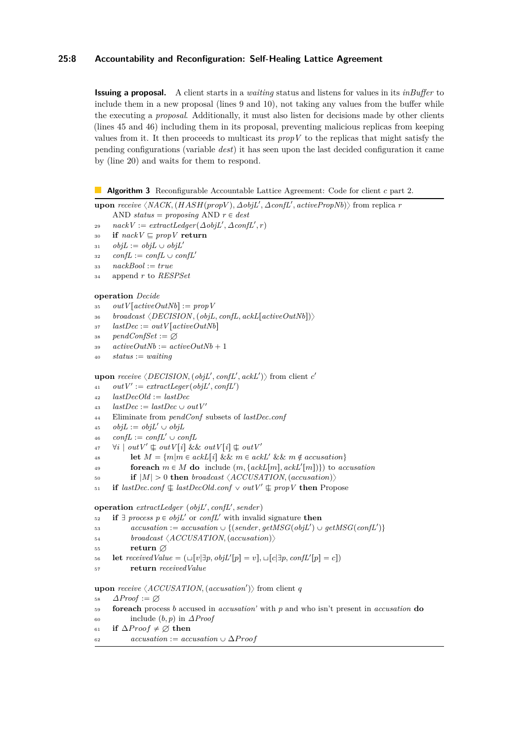# **25:8 Accountability and Reconfiguration: Self-Healing Lattice Agreement**

**Issuing a proposal.** A client starts in a *waiting* status and listens for values in its *inBuffer* to include them in a new proposal (lines [9](#page-6-3) and [10\)](#page-6-4), not taking any values from the buffer while the executing a *proposal*. Additionally, it must also listen for decisions made by other clients (lines [45](#page-7-3) and [46\)](#page-7-4) including them in its proposal, preventing malicious replicas from keeping values from it. It then proceeds to multicast its  $propV$  to the replicas that might satisfy the pending configurations (variable *dest*) it has seen upon the last decided configuration it came by (line [20\)](#page-6-5) and waits for them to respond.

**Algorithm 3** Reconfigurable Accountable Lattice Agreement: Code for client *c* part 2.

**upon** *receive*  $\langle NACK, (HASH (propV), \Delta objL', \Delta confL', activePropNb) \rangle$  from replica *r* AND *status* = *proposing* AND  $r \in dest$ 

- $i$ <sup>29</sup> *nackV* :=  $extractLedge(\Delta objL', \Delta confL', r)$
- 30 **if**  $\operatorname{nack} V \sqsubseteq \operatorname{prop} V$  **return**
- <span id="page-7-6"></span> $31$   $objL := objL \cup objL'$
- <span id="page-7-7"></span> $\Omega^3$  *confL* := *confL*  $\cup$  *confL'*
- <span id="page-7-8"></span> $33$   $nackBool := true$
- <span id="page-7-9"></span><sup>34</sup> append *r* to *RESPSet*

#### **operation** *Decide*

- $35 \quad outV[activeOutNb] := propV$
- <span id="page-7-13"></span> $\langle$  *broadcast*  $\langle$  *DECISION,*  $(objL, confL, ackL[activeOutNb])$
- $37$  *lastDec* := *outV*[activeOutNb]
- <span id="page-7-1"></span>38 *pendConfSet* :=  $\varnothing$
- $\alpha c t i v eOutNb := activeOutNb + 1$
- $_{40}$   $status := waiting$

**upon** receive  $\langle DECISION, (objL', confL', ackL') \rangle$  from client *c*'

- $\mathit{outV}' := extractLegend(bjL',confL')$
- $142$  *lastDecOld* := *lastDec*
- <span id="page-7-15"></span> $\iota$ <sub>43</sub> *lastDec* := *lastDec*  $\cup$  *outV'*
- <span id="page-7-2"></span><span id="page-7-0"></span><sup>44</sup> Eliminate from *pendConf* subsets of *lastDec.conf*
- <span id="page-7-3"></span> $45$   $objL := objL' \cup objL$
- <span id="page-7-4"></span> $\alpha_{46}$  *confL* := *confL'*  $\cup$  *confL*
- <span id="page-7-10"></span> $47 \quad \forall i \mid outV' \not\equiv outV[i] \&\& outV[i] \not\equiv outV'$
- 48 **let**  $M = \{m | m \in ackL[i] \&\& m \in ackL' \&\& m \notin accusation\}$
- <span id="page-7-14"></span>**foreach**  $m \in M$  **do** include  $(m, \{ackackL[m], ackL'[m])\})$  to *accusation*
- 50 **if**  $|M| > 0$  **then** *broadcast*  $\langle ACCUSATION, (accusation) \rangle$
- 51 **if**  $lastDec.config \nsubseteq lastDecOld.config \vee outV' \nsubseteq propV$  **then** Propose

## **operation** *extractLedger* (*objL'*, *confL'*, *sender*)

- $\mathbf{f} = \mathbf{f} \mathbf{f} \mathbf{f}$  *process*  $p \in objL'$  or *confL'* with invalid signature **then**
- <span id="page-7-5"></span> $\text{53}$   $\text{54}$   $\text{64}$   $\text{65}$   $\text{65}$   $\text{66}$   $\text{67}$   $\text{68}$   $\text{68}$   $\text{69}$   $\text{69}$   $\text{69}$   $\text{60}$   $\text{60}$   $\text{60}$   $\text{60}$   $\text{60}$   $\text{60}$   $\text{60}$   $\text{60}$   $\text{60}$   $\text{60}$   $\text{60}$   $\text{60}$   $\text{6$
- $broadcast \langle ACCUSATION, (accusation) \rangle$
- $55$  **return**  $\varnothing$
- 56 **let**  $\text{received Value} = (\sqcup[v]\exists p, \text{objL}'[p] = v], \sqcup[c]\exists p, \text{confL}'[p] = c])$
- <sup>57</sup> **return** *receivedValue*

**upon** *receive*  $\langle$  *ACCUSATION,* (*accusation'*)) from client *q* 

- 58  $\Delta Proof := \varnothing$
- <sup>59</sup> **foreach** process *b* accused in *accusation'* with *p* and who isn't present in *accusation* **do**
- <span id="page-7-16"></span>60 include  $(b, p)$  in  $\Delta Proof$
- <span id="page-7-11"></span>61 **if**  $\Delta Proof \neq \emptyset$  then
- <span id="page-7-12"></span> $\alpha$ <sup>2</sup> *accusation* :=  $\alpha$ *ccusation*  $\cup \Delta$ *Proof*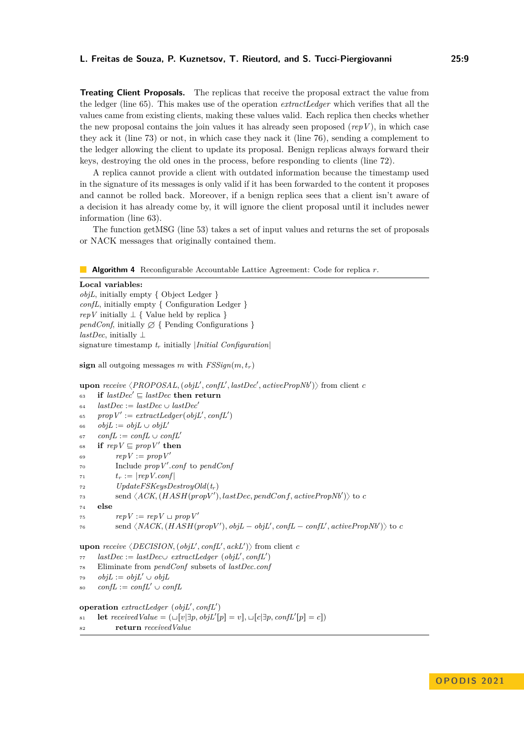**Treating Client Proposals.** The replicas that receive the proposal extract the value from the ledger (line [65\)](#page-8-1). This makes use of the operation *extractLedger* which verifies that all the values came from existing clients, making these values valid. Each replica then checks whether the new proposal contains the join values it has already seen proposed  $(repV)$ , in which case they ack it (line [73\)](#page-8-2) or not, in which case they nack it (line [76\)](#page-8-3), sending a complement to the ledger allowing the client to update its proposal. Benign replicas always forward their keys, destroying the old ones in the process, before responding to clients (line [72\)](#page-8-4).

A replica cannot provide a client with outdated information because the timestamp used in the signature of its messages is only valid if it has been forwarded to the content it proposes and cannot be rolled back. Moreover, if a benign replica sees that a client isn't aware of a decision it has already come by, it will ignore the client proposal until it includes newer information (line [63\)](#page-8-5).

The function getMSG (line [53\)](#page-7-5) takes a set of input values and returns the set of proposals or NACK messages that originally contained them.

## **Algorithm 4** Reconfigurable Accountable Lattice Agreement: Code for replica *r*.

```
Local variables:
objL, initially empty { Object Ledger }
confL, initially empty { Configuration Ledger }
repV initially \perp \{ Value held by replica \}pendConf, initially \varnothing { Pending Configurations }
lastDec, initially \perpsignature timestamp tr initially |Initial Configuration|
```
**sign** all outgoing messages *m* with  $FSSign(m, t_r)$ 

 $\langle PROPOSAL, (objL', confL', lastDec', activePropNb' \rangle)$  from client *c* 

- <span id="page-8-5"></span>63 **if**  $\textit{lastDec}' \sqsubseteq \textit{lastDec}$  then return
- <span id="page-8-8"></span> $_{64}$  *lastDec* := *lastDec*  $\cup$  *lastDec'*

```
\mathfrak{so} \quad prop \, V' := extractLedger(objL',confL')
```
- 66  $objL := objL \cup objL'$
- $\epsilon_6$ <sup>7</sup> *confL* := *confL*  $\cup$  *confL'*
- <span id="page-8-7"></span><span id="page-8-0"></span>68 **if**  $repV \sqsubseteq propV'$  then
- <span id="page-8-6"></span>69  $repV := propV'$
- <span id="page-8-9"></span> $T<sup>70</sup>$  Include *propV'*.conf to *pendConf*
- $t_r := |rep V.config|$
- <span id="page-8-4"></span> $\tau$ <sup>2</sup> *UpdateFSKeysDestroyOld*( $t_r$ )
- <span id="page-8-2"></span> $\{ACK, (HASH (propV'), lastDec, pendConf, activePropNb')\}$  to *c*
- <sup>74</sup> **else**

```
repV := repV \sqcup propV'
```

```
\{NACK, (HASH(prop V'), objL - objL', confL - confL', activeProp Nb')\} to \alpha
```
**upon** *receive*  $\langle DECISION, (objL', confL', ackL') \rangle$  from client *c* 

- $z_7$  *lastDec* := *lastDec*  $\cup$  *extractLedger* (*objL'*, *confL'*)
- <sup>78</sup> Eliminate from *pendConf* subsets of *lastDec.conf*
- $79$   $objL := objL' \cup objL$
- $\text{for} \quad \text{confL} := \text{confL}' \cup \text{confL}$

```
operation extractLedger (objL', confL')
```
81 **let**  $\text{received Value} = (\sqcup [v | \exists p, \text{objL}'[p] = v], \sqcup [c | \exists p, \text{confL}'[p] = c])$ 

```
82 return receivedValue
```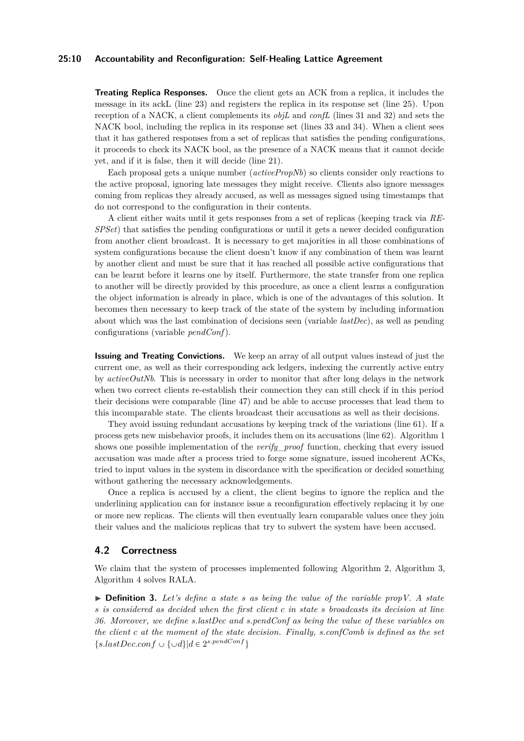## **25:10 Accountability and Reconfiguration: Self-Healing Lattice Agreement**

**Treating Replica Responses.** Once the client gets an ACK from a replica, it includes the message in its ackL (line [23\)](#page-6-6) and registers the replica in its response set (line [25\)](#page-6-7). Upon reception of a NACK, a client complements its *objL* and *confL* (lines [31](#page-7-6) and [32\)](#page-7-7) and sets the NACK bool, including the replica in its response set (lines [33](#page-7-8) and [34\)](#page-7-9). When a client sees that it has gathered responses from a set of replicas that satisfies the pending configurations, it proceeds to check its NACK bool, as the presence of a NACK means that it cannot decide yet, and if it is false, then it will decide (line [21\)](#page-6-8).

Each proposal gets a unique number (*activePropNb*) so clients consider only reactions to the active proposal, ignoring late messages they might receive. Clients also ignore messages coming from replicas they already accused, as well as messages signed using timestamps that do not correspond to the configuration in their contents.

A client either waits until it gets responses from a set of replicas (keeping track via *RE-SPSet*) that satisfies the pending configurations or until it gets a newer decided configuration from another client broadcast. It is necessary to get majorities in all those combinations of system configurations because the client doesn't know if any combination of them was learnt by another client and must be sure that it has reached all possible active configurations that can be learnt before it learns one by itself. Furthermore, the state transfer from one replica to another will be directly provided by this procedure, as once a client learns a configuration the object information is already in place, which is one of the advantages of this solution. It becomes then necessary to keep track of the state of the system by including information about which was the last combination of decisions seen (variable *lastDec*), as well as pending configurations (variable *pendConf*).

**Issuing and Treating Convictions.** We keep an array of all output values instead of just the current one, as well as their corresponding ack ledgers, indexing the currently active entry by *activeOutNb*. This is necessary in order to monitor that after long delays in the network when two correct clients re-establish their connection they can still check if in this period their decisions were comparable (line [47\)](#page-7-10) and be able to accuse processes that lead them to this incomparable state. The clients broadcast their accusations as well as their decisions.

They avoid issuing redundant accusations by keeping track of the variations (line [61\)](#page-7-11). If a process gets new misbehavior proofs, it includes them on its accusations (line [62\)](#page-7-12). Algorithm [1](#page-5-1) shows one possible implementation of the *verify\_proof* function, checking that every issued accusation was made after a process tried to forge some signature, issued incoherent ACKs, tried to input values in the system in discordance with the specification or decided something without gathering the necessary acknowledgements.

Once a replica is accused by a client, the client begins to ignore the replica and the underlining application can for instance issue a reconfiguration effectively replacing it by one or more new replicas. The clients will then eventually learn comparable values once they join their values and the malicious replicas that try to subvert the system have been accused.

# **4.2 Correctness**

We claim that the system of processes implemented following Algorithm [2,](#page-6-0) Algorithm [3,](#page-7-0) Algorithm [4](#page-8-0) solves RALA.

▶ **Definition 3.** *Let's define a state s as being the value of the variable propV. A state s is considered as decided when the first client c in state s broadcasts its decision at line [36.](#page-7-13) Moreover, we define s.lastDec and s.pendConf as being the value of these variables on the client c at the moment of the state decision. Finally, s.confComb is defined as the set*  ${s. lastDec.comf \cup \{\cup d\}} \mid d \in 2^{s.pendConf}$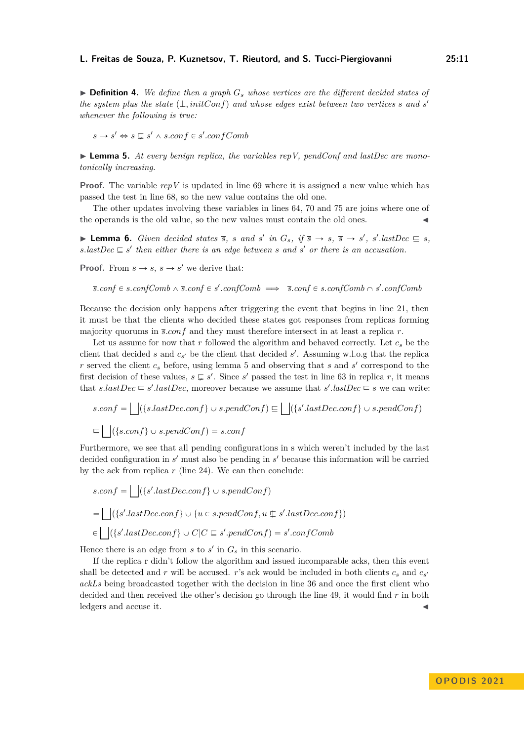$\triangleright$  **Definition 4.** We define then a graph  $G_s$  whose vertices are the different decided states of *the system plus the state*  $(\bot, initConf)$  *and whose edges exist between two vertices s and s*<sup>*'*</sup> *whenever the following is true:*

$$
s \to s' \Leftrightarrow s \subsetneq s' \land s.config \in s'.confComb
$$

<span id="page-10-0"></span>▶ **Lemma 5.** At every benign replica, the variables repV, pendConf and lastDec are mono*tonically increasing.*

**Proof.** The variable  $repV$  is updated in line [69](#page-8-6) where it is assigned a new value which has passed the test in line [68,](#page-8-7) so the new value contains the old one.

The other updates involving these variables in lines [64,](#page-8-8) [70](#page-8-9) and [75](#page-8-10) are joins where one of the operands is the old value, so the new values must contain the old ones.

<span id="page-10-1"></span>**Lemma 6.** Given decided states  $\overline{s}$ , s and s' in  $G_s$ , if  $\overline{s} \to s$ ,  $\overline{s} \to s'$ , s'.lastDec  $\subseteq s$ ,  $s.\n lastDec \nsubseteq s'$  then either there is an edge between *s* and *s'* or there is an accusation.

**Proof.** From  $\overline{s} \to s$ ,  $\overline{s} \to s'$  we derive that:

 $\overline{s}.\text{conf} \in s.\text{confComb} \land \overline{s}.\text{conf} \in s'.\text{confComb} \implies \overline{s}.\text{conf} \in s.\text{confComb} \cap s'.\text{confComb}$ 

Because the decision only happens after triggering the event that begins in line [21,](#page-6-8) then it must be that the clients who decided these states got responses from replicas forming majority quorums in *s.conf* and they must therefore intersect in at least a replica *r*.

Let us assume for now that  $r$  followed the algorithm and behaved correctly. Let  $c_s$  be the client that decided *s* and  $c_{s'}$  be the client that decided  $s'$ . Assuming w.l.o.g that the replica *r* served the client  $c_s$  before, using lemma [5](#page-10-0) and observing that *s* and *s'* correspond to the first decision of these values,  $s \subsetneq s'$ . Since s' passed the test in line [63](#page-8-5) in replica r, it means that  $s. lastDec \subseteq s'.lastDec$ , moreover because we assume that  $s'.lastDec \subseteq s$  we can write:

$$
s.config = \bigsqcup (\{s.lastDec.config\} \cup s.pendConf) \sqsubseteq \bigsqcup (\{s'.lastDec.config\} \cup s.pendConf)
$$

$$
\sqsubseteq
$$
 | ({*s.comf*}  $\cup$  *s.pendConf*) = *s.comf*

Furthermore, we see that all pending configurations in s which weren't included by the last decided configuration in *s'* must also be pending in *s'* because this information will be carried by the ack from replica  $r$  (line [24\)](#page-6-2). We can then conclude:

$$
s.config = \bigsqcup (\{s'.lastDec.config\} \cup s.pendConf)
$$

$$
= \bigsqcup (\{s'.lastDec.config\} \cup \{u \in s.pendConf, u \not\equiv s'.lastDec.config\})
$$

$$
\in \bigsqcup (\{s'.lastDec.config\} \cup C|C \subseteq s'.pendConf) = s'.confComb
$$

Hence there is an edge from  $s$  to  $s'$  in  $G_s$  in this scenario.

If the replica r didn't follow the algorithm and issued incomparable acks, then this event shall be detected and *r* will be accused. *r*'s ack would be included in both clients *c<sup>s</sup>* and *c<sup>s</sup>* 1 *ackLs* being broadcasted together with the decision in line [36](#page-7-13) and once the first client who decided and then received the other's decision go through the line [49,](#page-7-14) it would find *r* in both ledgers and accuse it.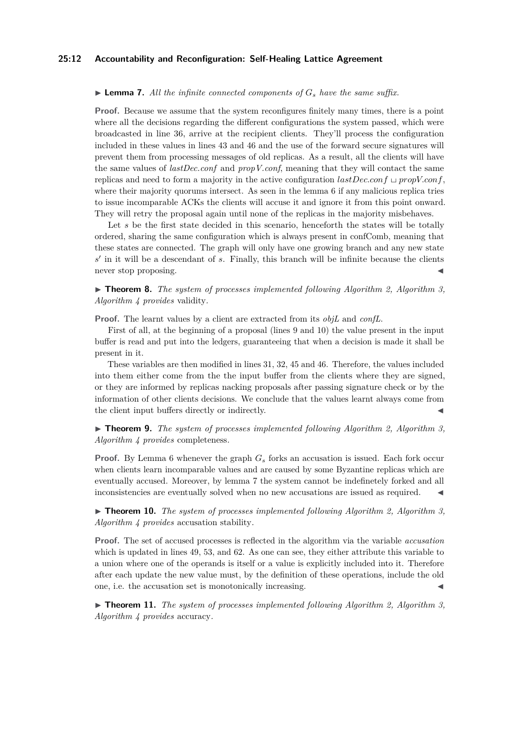## **25:12 Accountability and Reconfiguration: Self-Healing Lattice Agreement**

#### <span id="page-11-0"></span> $\blacktriangleright$  **Lemma 7.** All the infinite connected components of  $G_s$  have the same suffix.

**Proof.** Because we assume that the system reconfigures finitely many times, there is a point where all the decisions regarding the different configurations the system passed, which were broadcasted in line [36,](#page-7-13) arrive at the recipient clients. They'll process the configuration included in these values in lines [43](#page-7-15) and [46](#page-7-4) and the use of the forward secure signatures will prevent them from processing messages of old replicas. As a result, all the clients will have the same values of *lastDec.conf* and *propV.conf*, meaning that they will contact the same replicas and need to form a majority in the active configuration  $lastDec.comf \cup propV.comf$ , where their majority quorums intersect. As seen in the lemma [6](#page-10-1) if any malicious replica tries to issue incomparable ACKs the clients will accuse it and ignore it from this point onward. They will retry the proposal again until none of the replicas in the majority misbehaves.

Let *s* be the first state decided in this scenario, henceforth the states will be totally ordered, sharing the same configuration which is always present in confComb, meaning that these states are connected. The graph will only have one growing branch and any new state *s* 1 in it will be a descendant of *s*. Finally, this branch will be infinite because the clients never stop proposing.

▶ **Theorem 8.** *The system of processes implemented following Algorithm [2,](#page-6-0) Algorithm [3,](#page-7-0) Algorithm [4](#page-8-0) provides* validity*.*

**Proof.** The learnt values by a client are extracted from its *objL* and *confL*.

First of all, at the beginning of a proposal (lines [9](#page-6-3) and [10\)](#page-6-4) the value present in the input buffer is read and put into the ledgers, guaranteeing that when a decision is made it shall be present in it.

These variables are then modified in lines [31,](#page-7-6) [32,](#page-7-7) [45](#page-7-3) and [46.](#page-7-4) Therefore, the values included into them either come from the the input buffer from the clients where they are signed, or they are informed by replicas nacking proposals after passing signature check or by the information of other clients decisions. We conclude that the values learnt always come from the client input buffers directly or indirectly.

<span id="page-11-1"></span>▶ **Theorem 9.** *The system of processes implemented following Algorithm [2,](#page-6-0) Algorithm [3,](#page-7-0) Algorithm [4](#page-8-0) provides* completeness*.*

**Proof.** By Lemma [6](#page-10-1) whenever the graph  $G_s$  forks an accusation is issued. Each fork occur when clients learn incomparable values and are caused by some Byzantine replicas which are eventually accused. Moreover, by lemma [7](#page-11-0) the system cannot be indefinetely forked and all inconsistencies are eventually solved when no new accusations are issued as required.

▶ **Theorem 10.** *The system of processes implemented following Algorithm [2,](#page-6-0) Algorithm [3,](#page-7-0) Algorithm [4](#page-8-0) provides* accusation stability*.*

**Proof.** The set of accused processes is reflected in the algorithm via the variable *accusation* which is updated in lines [49,](#page-7-14) [53,](#page-7-5) and [62.](#page-7-12) As one can see, they either attribute this variable to a union where one of the operands is itself or a value is explicitly included into it. Therefore after each update the new value must, by the definition of these operations, include the old one, i.e. the accusation set is monotonically increasing.

▶ **Theorem 11.** *The system of processes implemented following Algorithm [2,](#page-6-0) Algorithm [3,](#page-7-0) Algorithm [4](#page-8-0) provides* accuracy*.*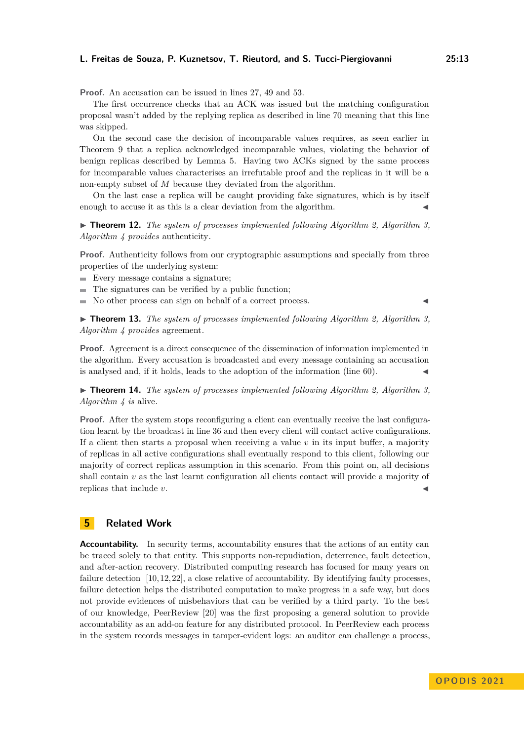**Proof.** An accusation can be issued in lines [27,](#page-6-9) [49](#page-7-14) and [53.](#page-7-5)

The first occurrence checks that an ACK was issued but the matching configuration proposal wasn't added by the replying replica as described in line [70](#page-8-9) meaning that this line was skipped.

On the second case the decision of incomparable values requires, as seen earlier in [Theorem 9](#page-11-1) that a replica acknowledged incomparable values, violating the behavior of benign replicas described by Lemma [5.](#page-10-0) Having two ACKs signed by the same process for incomparable values characterises an irrefutable proof and the replicas in it will be a non-empty subset of *M* because they deviated from the algorithm.

On the last case a replica will be caught providing fake signatures, which is by itself enough to accuse it as this is a clear deviation from the algorithm.

<span id="page-12-1"></span>▶ **Theorem 12.** *The system of processes implemented following Algorithm [2,](#page-6-0) Algorithm [3,](#page-7-0) Algorithm [4](#page-8-0) provides* authenticity*.*

**Proof.** Authenticity follows from our cryptographic assumptions and specially from three properties of the underlying system:

- Every message contains a signature;
- The signatures can be verified by a public function;
- No other process can sign on behalf of a correct process.  $\mathbf{r}$

▶ **Theorem 13.** *The system of processes implemented following Algorithm [2,](#page-6-0) Algorithm [3,](#page-7-0) Algorithm [4](#page-8-0) provides* agreement*.*

**Proof.** Agreement is a direct consequence of the dissemination of information implemented in the algorithm. Every accusation is broadcasted and every message containing an accusation is analysed and, if it holds, leads to the adoption of the information (line  $60$ ).

▶ **Theorem 14.** *The system of processes implemented following Algorithm [2,](#page-6-0) Algorithm [3,](#page-7-0) Algorithm [4](#page-8-0) is* alive*.*

**Proof.** After the system stops reconfiguring a client can eventually receive the last configuration learnt by the broadcast in line [36](#page-7-13) and then every client will contact active configurations. If a client then starts a proposal when receiving a value *v* in its input buffer, a majority of replicas in all active configurations shall eventually respond to this client, following our majority of correct replicas assumption in this scenario. From this point on, all decisions shall contain  $v$  as the last learnt configuration all clients contact will provide a majority of replicas that include *v*.

# <span id="page-12-0"></span>**5 Related Work**

**Accountability.** In security terms, accountability ensures that the actions of an entity can be traced solely to that entity. This supports non-repudiation, deterrence, fault detection, and after-action recovery. Distributed computing research has focused for many years on failure detection [\[10,](#page-15-9) [12,](#page-15-10) [22\]](#page-16-14), a close relative of accountability. By identifying faulty processes, failure detection helps the distributed computation to make progress in a safe way, but does not provide evidences of misbehaviors that can be verified by a third party. To the best of our knowledge, PeerReview [\[20\]](#page-16-2) was the first proposing a general solution to provide accountability as an add-on feature for any distributed protocol. In PeerReview each process in the system records messages in tamper-evident logs: an auditor can challenge a process,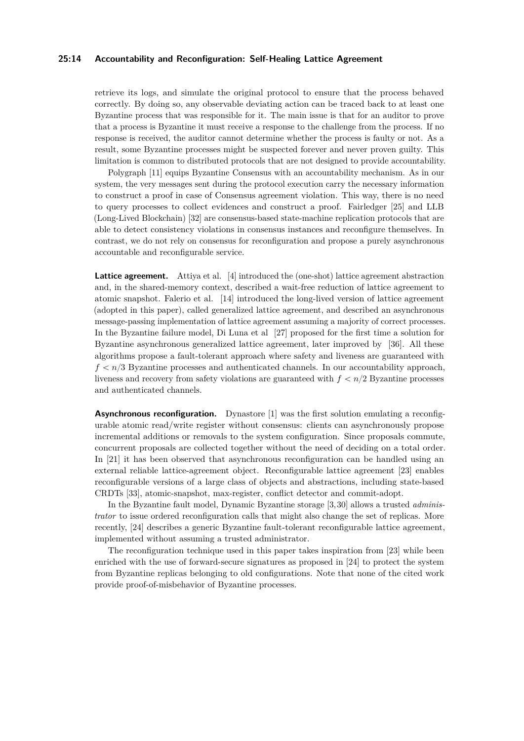## **25:14 Accountability and Reconfiguration: Self-Healing Lattice Agreement**

retrieve its logs, and simulate the original protocol to ensure that the process behaved correctly. By doing so, any observable deviating action can be traced back to at least one Byzantine process that was responsible for it. The main issue is that for an auditor to prove that a process is Byzantine it must receive a response to the challenge from the process. If no response is received, the auditor cannot determine whether the process is faulty or not. As a result, some Byzantine processes might be suspected forever and never proven guilty. This limitation is common to distributed protocols that are not designed to provide accountability.

Polygraph [\[11\]](#page-15-0) equips Byzantine Consensus with an accountability mechanism. As in our system, the very messages sent during the protocol execution carry the necessary information to construct a proof in case of Consensus agreement violation. This way, there is no need to query processes to collect evidences and construct a proof. Fairledger [\[25\]](#page-16-15) and LLB (Long-Lived Blockchain) [\[32\]](#page-16-16) are consensus-based state-machine replication protocols that are able to detect consistency violations in consensus instances and reconfigure themselves. In contrast, we do not rely on consensus for reconfiguration and propose a purely asynchronous accountable and reconfigurable service.

**Lattice agreement.** Attiya et al. [\[4\]](#page-15-4) introduced the (one-shot) lattice agreement abstraction and, in the shared-memory context, described a wait-free reduction of lattice agreement to atomic snapshot. Falerio et al. [\[14\]](#page-16-9) introduced the long-lived version of lattice agreement (adopted in this paper), called generalized lattice agreement, and described an asynchronous message-passing implementation of lattice agreement assuming a majority of correct processes. In the Byzantine failure model, Di Luna et al [\[27\]](#page-16-17) proposed for the first time a solution for Byzantine asynchronous generalized lattice agreement, later improved by [\[36\]](#page-17-2). All these algorithms propose a fault-tolerant approach where safety and liveness are guaranteed with  $f < n/3$  Byzantine processes and authenticated channels. In our accountability approach, liveness and recovery from safety violations are guaranteed with  $f < n/2$  Byzantine processes and authenticated channels.

**Asynchronous reconfiguration.** Dynastore [\[1\]](#page-15-2) was the first solution emulating a reconfigurable atomic read/write register without consensus: clients can asynchronously propose incremental additions or removals to the system configuration. Since proposals commute, concurrent proposals are collected together without the need of deciding on a total order. In [\[21\]](#page-16-6) it has been observed that asynchronous reconfiguration can be handled using an external reliable lattice-agreement object. Reconfigurable lattice agreement [\[23\]](#page-16-7) enables reconfigurable versions of a large class of objects and abstractions, including state-based CRDTs [\[33\]](#page-16-18), atomic-snapshot, max-register, conflict detector and commit-adopt.

In the Byzantine fault model, Dynamic Byzantine storage [\[3,](#page-15-11) [30\]](#page-16-19) allows a trusted *administrator* to issue ordered reconfiguration calls that might also change the set of replicas. More recently, [\[24\]](#page-16-8) describes a generic Byzantine fault-tolerant reconfigurable lattice agreement, implemented without assuming a trusted administrator.

The reconfiguration technique used in this paper takes inspiration from [\[23\]](#page-16-7) while been enriched with the use of forward-secure signatures as proposed in [\[24\]](#page-16-8) to protect the system from Byzantine replicas belonging to old configurations. Note that none of the cited work provide proof-of-misbehavior of Byzantine processes.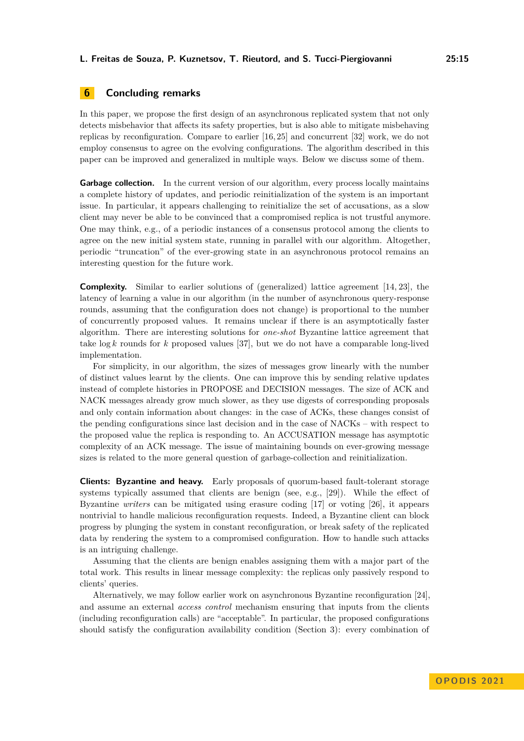# <span id="page-14-0"></span>**6 Concluding remarks**

In this paper, we propose the first design of an asynchronous replicated system that not only detects misbehavior that affects its safety properties, but is also able to mitigate misbehaving replicas by reconfiguration. Compare to earlier [\[16,](#page-16-5) [25\]](#page-16-15) and concurrent [\[32\]](#page-16-16) work, we do not employ consensus to agree on the evolving configurations. The algorithm described in this paper can be improved and generalized in multiple ways. Below we discuss some of them.

Garbage collection. In the current version of our algorithm, every process locally maintains a complete history of updates, and periodic reinitialization of the system is an important issue. In particular, it appears challenging to reinitialize the set of accusations, as a slow client may never be able to be convinced that a compromised replica is not trustful anymore. One may think, e.g., of a periodic instances of a consensus protocol among the clients to agree on the new initial system state, running in parallel with our algorithm. Altogether, periodic "truncation" of the ever-growing state in an asynchronous protocol remains an interesting question for the future work.

**Complexity.** Similar to earlier solutions of (generalized) lattice agreement [\[14,](#page-16-9) [23\]](#page-16-7), the latency of learning a value in our algorithm (in the number of asynchronous query-response rounds, assuming that the configuration does not change) is proportional to the number of concurrently proposed values. It remains unclear if there is an asymptotically faster algorithm. There are interesting solutions for *one-shot* Byzantine lattice agreement that take log *k* rounds for *k* proposed values [\[37\]](#page-17-3), but we do not have a comparable long-lived implementation.

For simplicity, in our algorithm, the sizes of messages grow linearly with the number of distinct values learnt by the clients. One can improve this by sending relative updates instead of complete histories in PROPOSE and DECISION messages. The size of ACK and NACK messages already grow much slower, as they use digests of corresponding proposals and only contain information about changes: in the case of ACKs, these changes consist of the pending configurations since last decision and in the case of NACKs – with respect to the proposed value the replica is responding to. An ACCUSATION message has asymptotic complexity of an ACK message. The issue of maintaining bounds on ever-growing message sizes is related to the more general question of garbage-collection and reinitialization.

**Clients: Byzantine and heavy.** Early proposals of quorum-based fault-tolerant storage systems typically assumed that clients are benign (see, e.g., [\[29\]](#page-16-11)). While the effect of Byzantine *writers* can be mitigated using erasure coding [\[17\]](#page-16-20) or voting [\[26\]](#page-16-21), it appears nontrivial to handle malicious reconfiguration requests. Indeed, a Byzantine client can block progress by plunging the system in constant reconfiguration, or break safety of the replicated data by rendering the system to a compromised configuration. How to handle such attacks is an intriguing challenge.

Assuming that the clients are benign enables assigning them with a major part of the total work. This results in linear message complexity: the replicas only passively respond to clients' queries.

Alternatively, we may follow earlier work on asynchronous Byzantine reconfiguration [\[24\]](#page-16-8), and assume an external *access control* mechanism ensuring that inputs from the clients (including reconfiguration calls) are "acceptable". In particular, the proposed configurations should satisfy the configuration availability condition (Section [3\)](#page-3-0): every combination of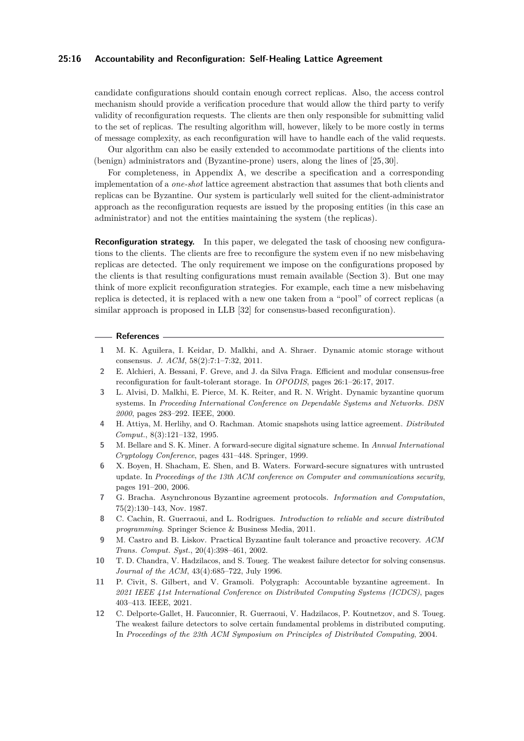## **25:16 Accountability and Reconfiguration: Self-Healing Lattice Agreement**

candidate configurations should contain enough correct replicas. Also, the access control mechanism should provide a verification procedure that would allow the third party to verify validity of reconfiguration requests. The clients are then only responsible for submitting valid to the set of replicas. The resulting algorithm will, however, likely to be more costly in terms of message complexity, as each reconfiguration will have to handle each of the valid requests.

Our algorithm can also be easily extended to accommodate partitions of the clients into (benign) administrators and (Byzantine-prone) users, along the lines of [\[25,](#page-16-15) [30\]](#page-16-19).

For completeness, in Appendix [A,](#page-17-1) we describe a specification and a corresponding implementation of a *one-shot* lattice agreement abstraction that assumes that both clients and replicas can be Byzantine. Our system is particularly well suited for the client-administrator approach as the reconfiguration requests are issued by the proposing entities (in this case an administrator) and not the entities maintaining the system (the replicas).

**Reconfiguration strategy.** In this paper, we delegated the task of choosing new configurations to the clients. The clients are free to reconfigure the system even if no new misbehaving replicas are detected. The only requirement we impose on the configurations proposed by the clients is that resulting configurations must remain available (Section [3\)](#page-3-0). But one may think of more explicit reconfiguration strategies. For example, each time a new misbehaving replica is detected, it is replaced with a new one taken from a "pool" of correct replicas (a similar approach is proposed in LLB [\[32\]](#page-16-16) for consensus-based reconfiguration).

#### **References**

- <span id="page-15-2"></span>**1** M. K. Aguilera, I. Keidar, D. Malkhi, and A. Shraer. Dynamic atomic storage without consensus. *J. ACM*, 58(2):7:1–7:32, 2011.
- <span id="page-15-3"></span>**2** E. Alchieri, A. Bessani, F. Greve, and J. da Silva Fraga. Efficient and modular consensus-free reconfiguration for fault-tolerant storage. In *OPODIS*, pages 26:1–26:17, 2017.
- <span id="page-15-11"></span>**3** L. Alvisi, D. Malkhi, E. Pierce, M. K. Reiter, and R. N. Wright. Dynamic byzantine quorum systems. In *Proceeding International Conference on Dependable Systems and Networks. DSN 2000*, pages 283–292. IEEE, 2000.
- <span id="page-15-4"></span>**4** H. Attiya, M. Herlihy, and O. Rachman. Atomic snapshots using lattice agreement. *Distributed Comput.*, 8(3):121–132, 1995.
- <span id="page-15-5"></span>**5** M. Bellare and S. K. Miner. A forward-secure digital signature scheme. In *Annual International Cryptology Conference*, pages 431–448. Springer, 1999.
- <span id="page-15-6"></span>**6** X. Boyen, H. Shacham, E. Shen, and B. Waters. Forward-secure signatures with untrusted update. In *Proceedings of the 13th ACM conference on Computer and communications security*, pages 191–200, 2006.
- <span id="page-15-7"></span>**7** G. Bracha. Asynchronous Byzantine agreement protocols. *Information and Computation*, 75(2):130–143, Nov. 1987.
- <span id="page-15-8"></span>**8** C. Cachin, R. Guerraoui, and L. Rodrigues. *Introduction to reliable and secure distributed programming*. Springer Science & Business Media, 2011.
- <span id="page-15-1"></span>**9** M. Castro and B. Liskov. Practical Byzantine fault tolerance and proactive recovery. *ACM Trans. Comput. Syst.*, 20(4):398–461, 2002.
- <span id="page-15-9"></span>**10** T. D. Chandra, V. Hadzilacos, and S. Toueg. The weakest failure detector for solving consensus. *Journal of the ACM*, 43(4):685–722, July 1996.
- <span id="page-15-0"></span>**11** P. Civit, S. Gilbert, and V. Gramoli. Polygraph: Accountable byzantine agreement. In *2021 IEEE 41st International Conference on Distributed Computing Systems (ICDCS)*, pages 403–413. IEEE, 2021.
- <span id="page-15-10"></span>**12** C. Delporte-Gallet, H. Fauconnier, R. Guerraoui, V. Hadzilacos, P. Koutnetzov, and S. Toueg. The weakest failure detectors to solve certain fundamental problems in distributed computing. In *Proceedings of the 23th ACM Symposium on Principles of Distributed Computing*, 2004.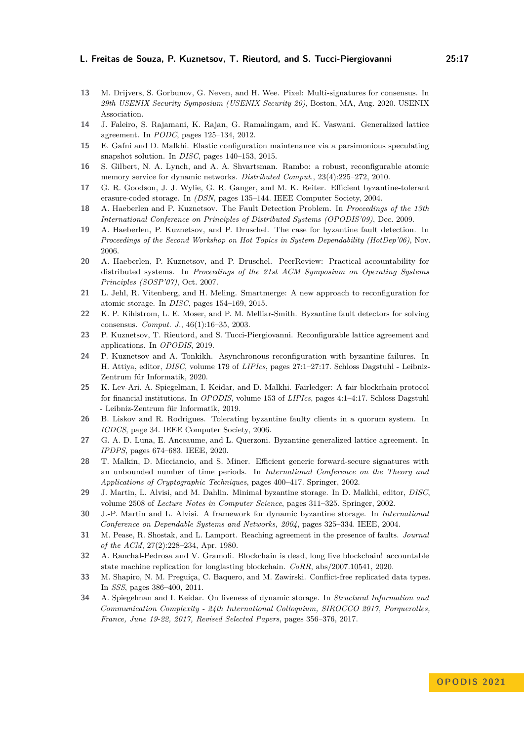- <span id="page-16-10"></span>**13** M. Drijvers, S. Gorbunov, G. Neven, and H. Wee. Pixel: Multi-signatures for consensus. In *29th USENIX Security Symposium (USENIX Security 20)*, Boston, MA, Aug. 2020. USENIX **Association**
- <span id="page-16-9"></span>**14** J. Faleiro, S. Rajamani, K. Rajan, G. Ramalingam, and K. Vaswani. Generalized lattice agreement. In *PODC*, pages 125–134, 2012.
- <span id="page-16-4"></span>**15** E. Gafni and D. Malkhi. Elastic configuration maintenance via a parsimonious speculating snapshot solution. In *DISC*, pages 140–153, 2015.
- <span id="page-16-5"></span>**16** S. Gilbert, N. A. Lynch, and A. A. Shvartsman. Rambo: a robust, reconfigurable atomic memory service for dynamic networks. *Distributed Comput.*, 23(4):225–272, 2010.
- <span id="page-16-20"></span>**17** G. R. Goodson, J. J. Wylie, G. R. Ganger, and M. K. Reiter. Efficient byzantine-tolerant erasure-coded storage. In *(DSN*, pages 135–144. IEEE Computer Society, 2004.
- <span id="page-16-0"></span>**18** A. Haeberlen and P. Kuznetsov. The Fault Detection Problem. In *Proceedings of the 13th International Conference on Principles of Distributed Systems (OPODIS'09)*, Dec. 2009.
- <span id="page-16-1"></span>**19** A. Haeberlen, P. Kuznetsov, and P. Druschel. The case for byzantine fault detection. In *Proceedings of the Second Workshop on Hot Topics in System Dependability (HotDep'06)*, Nov. 2006.
- <span id="page-16-2"></span>**20** A. Haeberlen, P. Kuznetsov, and P. Druschel. PeerReview: Practical accountability for distributed systems. In *Proceedings of the 21st ACM Symposium on Operating Systems Principles (SOSP'07)*, Oct. 2007.
- <span id="page-16-6"></span>**21** L. Jehl, R. Vitenberg, and H. Meling. Smartmerge: A new approach to reconfiguration for atomic storage. In *DISC*, pages 154–169, 2015.
- <span id="page-16-14"></span>**22** K. P. Kihlstrom, L. E. Moser, and P. M. Melliar-Smith. Byzantine fault detectors for solving consensus. *Comput. J.*, 46(1):16–35, 2003.
- <span id="page-16-7"></span>**23** P. Kuznetsov, T. Rieutord, and S. Tucci-Piergiovanni. Reconfigurable lattice agreement and applications. In *OPODIS*, 2019.
- <span id="page-16-8"></span>**24** P. Kuznetsov and A. Tonkikh. Asynchronous reconfiguration with byzantine failures. In H. Attiya, editor, *DISC*, volume 179 of *LIPIcs*, pages 27:1–27:17. Schloss Dagstuhl - Leibniz-Zentrum für Informatik, 2020.
- <span id="page-16-15"></span>**25** K. Lev-Ari, A. Spiegelman, I. Keidar, and D. Malkhi. Fairledger: A fair blockchain protocol for financial institutions. In *OPODIS*, volume 153 of *LIPIcs*, pages 4:1–4:17. Schloss Dagstuhl - Leibniz-Zentrum für Informatik, 2019.
- <span id="page-16-21"></span>**26** B. Liskov and R. Rodrigues. Tolerating byzantine faulty clients in a quorum system. In *ICDCS*, page 34. IEEE Computer Society, 2006.
- <span id="page-16-17"></span>**27** G. A. D. Luna, E. Anceaume, and L. Querzoni. Byzantine generalized lattice agreement. In *IPDPS*, pages 674–683. IEEE, 2020.
- <span id="page-16-12"></span>**28** T. Malkin, D. Micciancio, and S. Miner. Efficient generic forward-secure signatures with an unbounded number of time periods. In *International Conference on the Theory and Applications of Cryptographic Techniques*, pages 400–417. Springer, 2002.
- <span id="page-16-11"></span>**29** J. Martin, L. Alvisi, and M. Dahlin. Minimal byzantine storage. In D. Malkhi, editor, *DISC*, volume 2508 of *Lecture Notes in Computer Science*, pages 311–325. Springer, 2002.
- <span id="page-16-19"></span>**30** J.-P. Martin and L. Alvisi. A framework for dynamic byzantine storage. In *International Conference on Dependable Systems and Networks, 2004*, pages 325–334. IEEE, 2004.
- <span id="page-16-3"></span>**31** M. Pease, R. Shostak, and L. Lamport. Reaching agreement in the presence of faults. *Journal of the ACM*, 27(2):228–234, Apr. 1980.
- <span id="page-16-16"></span>**32** A. Ranchal-Pedrosa and V. Gramoli. Blockchain is dead, long live blockchain! accountable state machine replication for longlasting blockchain. *CoRR*, abs/2007.10541, 2020.
- <span id="page-16-18"></span>**33** M. Shapiro, N. M. Preguiça, C. Baquero, and M. Zawirski. Conflict-free replicated data types. In *SSS*, pages 386–400, 2011.
- <span id="page-16-13"></span>**34** A. Spiegelman and I. Keidar. On liveness of dynamic storage. In *Structural Information and Communication Complexity - 24th International Colloquium, SIROCCO 2017, Porquerolles, France, June 19-22, 2017, Revised Selected Papers*, pages 356–376, 2017.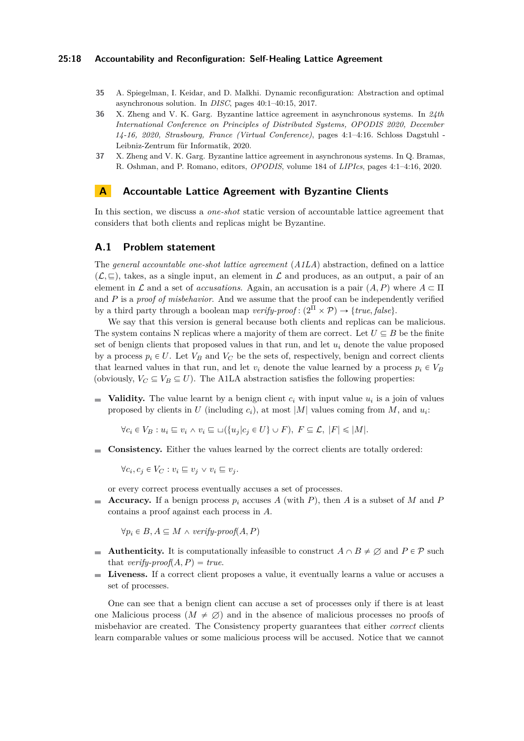### **25:18 Accountability and Reconfiguration: Self-Healing Lattice Agreement**

- <span id="page-17-0"></span>**35** A. Spiegelman, I. Keidar, and D. Malkhi. Dynamic reconfiguration: Abstraction and optimal asynchronous solution. In *DISC*, pages 40:1–40:15, 2017.
- <span id="page-17-2"></span>**36** X. Zheng and V. K. Garg. Byzantine lattice agreement in asynchronous systems. In *24th International Conference on Principles of Distributed Systems, OPODIS 2020, December 14-16, 2020, Strasbourg, France (Virtual Conference)*, pages 4:1–4:16. Schloss Dagstuhl - Leibniz-Zentrum für Informatik, 2020.
- <span id="page-17-3"></span>**37** X. Zheng and V. K. Garg. Byzantine lattice agreement in asynchronous systems. In Q. Bramas, R. Oshman, and P. Romano, editors, *OPODIS*, volume 184 of *LIPIcs*, pages 4:1–4:16, 2020.

# <span id="page-17-1"></span>**A Accountable Lattice Agreement with Byzantine Clients**

In this section, we discuss a *one-shot* static version of accountable lattice agreement that considers that both clients and replicas might be Byzantine.

# **A.1 Problem statement**

The *general accountable one-shot lattice agreement* (*A1LA*) abstraction, defined on a lattice  $(\mathcal{L}, \sqsubseteq)$ , takes, as a single input, an element in  $\mathcal L$  and produces, as an output, a pair of an element in L and a set of *accusations*. Again, an accusation is a pair  $(A, P)$  where  $A \subset \Pi$ and *P* is a *proof of misbehavior*. And we assume that the proof can be independently verified by a third party through a boolean map  $\text{verify-proof} : (2^{\Pi} \times \mathcal{P}) \to \{\text{true}, \text{false}\}.$ 

We say that this version is general because both clients and replicas can be malicious. The system contains N replicas where a majority of them are correct. Let  $U \subseteq B$  be the finite set of benign clients that proposed values in that run, and let *u<sup>i</sup>* denote the value proposed by a process  $p_i \in U$ . Let  $V_B$  and  $V_C$  be the sets of, respectively, benign and correct clients that learned values in that run, and let  $v_i$  denote the value learned by a process  $p_i \in V_B$ (obviously,  $V_C \subseteq V_B \subseteq U$ ). The A1LA abstraction satisfies the following properties:

**Validity.** The value learnt by a benign client  $c_i$  with input value  $u_i$  is a join of values proposed by clients in *U* (including  $c_i$ ), at most |*M*| values coming from *M*, and  $u_i$ :

 $\forall c_i \in V_B : u_i \subseteq v_i \land v_i \subseteq \sqcup (\{u_j | c_j \in U\} \cup F), F \subseteq \mathcal{L}, |F| \leq |M|.$ 

**Consistency.** Either the values learned by the correct clients are totally ordered:

 $\forall c_i, c_j \in V_C : v_i \sqsubseteq v_j \lor v_i \sqsubseteq v_j$ .

or every correct process eventually accuses a set of processes.

**Accuracy.** If a benign process *p<sup>i</sup>* accuses *A* (with *P*), then *A* is a subset of *M* and *P*  $\blacksquare$ contains a proof against each process in *A*.

 $\forall p_i \in B, A \subseteq M \land verify\text{-}proof}(A, P)$ 

- **Authenticity.** It is computationally infeasible to construct  $A \cap B \neq \emptyset$  and  $P \in \mathcal{P}$  such  $\equiv$ that *verify-proof* $(A, P) = true$ .
- Liveness. If a correct client proposes a value, it eventually learns a value or accuses a  $\blacksquare$ set of processes.

One can see that a benign client can accuse a set of processes only if there is at least one Malicious process  $(M \neq \emptyset)$  and in the absence of malicious processes no proofs of misbehavior are created. The Consistency property guarantees that either *correct* clients learn comparable values or some malicious process will be accused. Notice that we cannot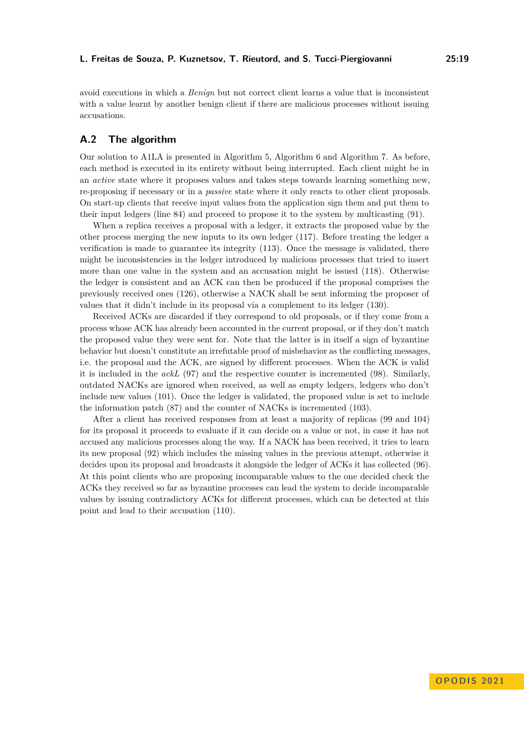avoid executions in which a *Benign* but not correct client learns a value that is inconsistent with a value learnt by another benign client if there are malicious processes without issuing accusations.

# **A.2 The algorithm**

Our solution to A1LA is presented in Algorithm [5,](#page-19-0) Algorithm [6](#page-20-0) and Algorithm [7.](#page-20-1) As before, each method is executed in its entirety without being interrupted. Each client might be in an *active* state where it proposes values and takes steps towards learning something new, re-proposing if necessary or in a *passive* state where it only reacts to other client proposals. On start-up clients that receive input values from the application sign them and put them to their input ledgers (line [84\)](#page-19-1) and proceed to propose it to the system by multicasting [\(91\)](#page-19-2).

When a replica receives a proposal with a ledger, it extracts the proposed value by the other process merging the new inputs to its own ledger [\(117\)](#page-20-2). Before treating the ledger a verification is made to guarantee its integrity [\(113\)](#page-20-3). Once the message is validated, there might be inconsistencies in the ledger introduced by malicious processes that tried to insert more than one value in the system and an accusation might be issued [\(118\)](#page-20-4). Otherwise the ledger is consistent and an ACK can then be produced if the proposal comprises the previously received ones [\(126\)](#page-20-5), otherwise a NACK shall be sent informing the proposer of values that it didn't include in its proposal via a complement to its ledger [\(130\)](#page-20-6).

Received ACKs are discarded if they correspond to old proposals, or if they come from a process whose ACK has already been accounted in the current proposal, or if they don't match the proposed value they were sent for. Note that the latter is in itself a sign of byzantine behavior but doesn't constitute an irrefutable proof of misbehavior as the conflicting messages, i.e. the proposal and the ACK, are signed by different processes. When the ACK is valid it is included in the *ackL* [\(97\)](#page-19-3) and the respective counter is incremented [\(98\)](#page-19-4). Similarly, outdated NACKs are ignored when received, as well as empty ledgers, ledgers who don't include new values [\(101\)](#page-19-5). Once the ledger is validated, the proposed value is set to include the information patch [\(87\)](#page-19-6) and the counter of NACKs is incremented [\(103\)](#page-19-7).

After a client has received responses from at least a majority of replicas [\(99](#page-19-8) and [104\)](#page-19-9) for its proposal it proceeds to evaluate if it can decide on a value or not, in case it has not accused any malicious processes along the way. If a NACK has been received, it tries to learn its new proposal [\(92\)](#page-19-10) which includes the missing values in the previous attempt, otherwise it decides upon its proposal and broadcasts it alongside the ledger of ACKs it has collected [\(96\)](#page-19-11). At this point clients who are proposing incomparable values to the one decided check the ACKs they received so far as byzantine processes can lead the system to decide incomparable values by issuing contradictory ACKs for different processes, which can be detected at this point and lead to their accusation [\(110\)](#page-20-7).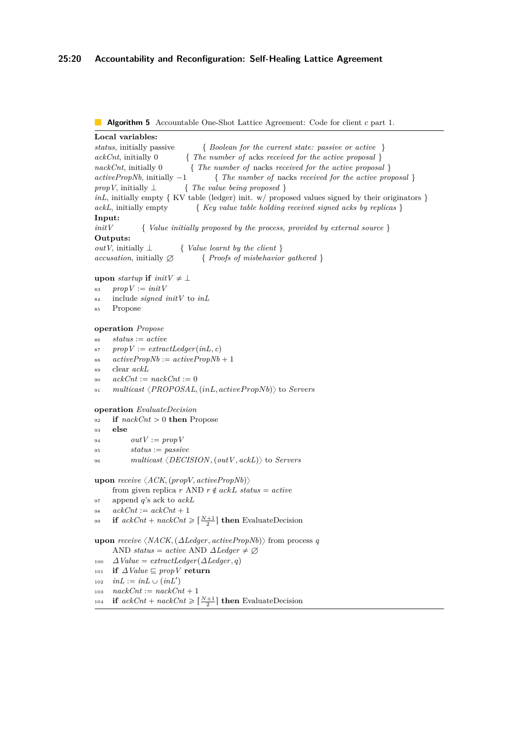## **25:20 Accountability and Reconfiguration: Self-Healing Lattice Agreement**

**Algorithm 5** Accountable One-Shot Lattice Agreement: Code for client *c* part 1.

<span id="page-19-6"></span><span id="page-19-1"></span>**Local variables:** *status*, initially passive { *Boolean for the current state: passive or active* } *ackCnt*, initially 0 { *The number of* acks *received for the active proposal* } *nackCnt*, initially 0 { *The number of* nacks *received for the active proposal* }  $activePropNb$ , initially  $-1$  { *The number of nacks received for the active proposal* } *propV*, initially  $\perp$  { *The value being proposed* } *inL*, initially empty { KV table (ledger) init. w/ proposed values signed by their originators } *ackL*, initially empty { *Key value table holding received signed acks by replicas* } **Input:** *initV* { *Value initially proposed by the process, provided by external source* } **Outputs:** *outV*, initially  $\perp$  { *Value learnt by the client* }  $accusation$ , initially  $\varnothing$  { *Proofs of misbehavior gathered* } **upon** *startup* **if**  $initV \neq \perp$  $_{83}$  *prop*  $V := initV$ <sup>84</sup> include *signed initV* to *inL* <sup>85</sup> Propose **operation** *Propose*  $s<sub>6</sub>$  *status* := *active*  $\text{for } p \text{ to } V := \text{extractLedger}(\text{inL}, c)$ 88  $activePropNb := activePropNb + 1$ <sup>89</sup> clear *ackL*  $\int$ 90  $ackCnt := nackCnt := 0$  $\text{y1}$  *multicast*  $\langle PROPOSAL, (inL, activePropNb) \rangle$  to *Servers* **operation** *EvaluateDecision*  $\int$  **if**  $\textit{nackCont} > 0$  **then** Propose <sup>93</sup> **else**  $\partial^{4}$  *out V* := *propV* 95 *status* := *passive* 96 *multicast*  $\langle DECISION, (outV, ackL) \rangle$  to *Servers* **upon** *receive*  $\langle ACK, (propV, activePropNb) \rangle$ from given replica *r* AND  $r \notin ackL$  *status* = *active* <sup>97</sup> append *q*'s ack to *ackL* 98  $ackCnt := ackCnt + 1$ 99 **if**  $ackCnt + nackCnt \geq \lceil \frac{N+1}{2} \rceil$  then EvaluateDecision **upon** *receive*  $\langle NACK, (\Delta Ledger, activePropNb) \rangle$  from process *q* AND *status* = *active* AND  $\Delta$ *Ledger*  $\neq \emptyset$  $\Delta Value = extractLedger(\Delta Ledger, q)$  $101$  **if**  $\Delta$ *Value* ⊑ *propV* **return** 

```
_{102} inL := inL \cup (inL')
```

```
103 nackCnt := nackCnt + 1
```
<span id="page-19-9"></span>104 **if**  $ackCnt + \textit{nackCnt} \geq \lceil \frac{N+1}{2} \rceil$  then EvaluateDecision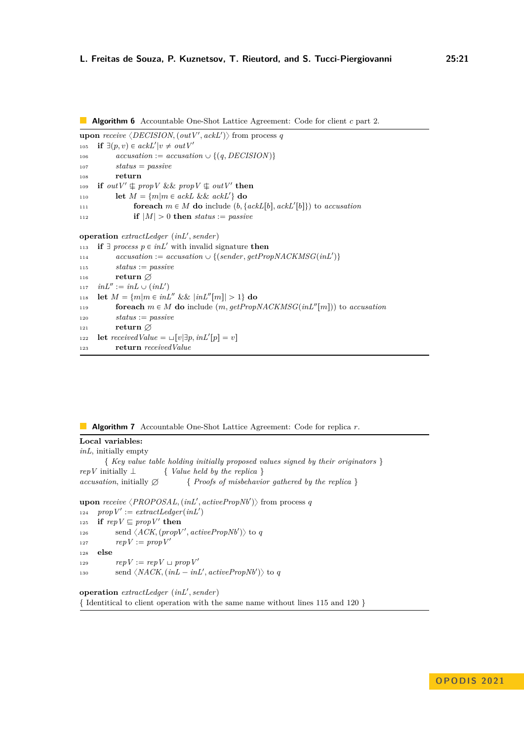**Algorithm 6** Accountable One-Shot Lattice Agreement: Code for client *c* part 2.

```
upon receive \langle DECISION, (outV', ackL') \rangle from process q
105 if \exists (p, v) \in ackL'|v \neq outV'106 accusation := accusation \cup \{(q, DECISION)\}107 status = passive
108 return
109 if outV' \nsubseteq propV \&\& propV \nsubseteq outV' then
110 let M = \{m | m \in ackL \&\& ackL'\} do
for each m \in M do include (b, \{ackackL[b], ackL'[b]\}) to accusation
112 if |M| > 0 then status := passive
operation extractLedger (inL<sup>1</sup>, sender)
113 if \exists process p \in inL' with invalid signature then
\text{arccusation} := \text{accusation} \cup \{(\text{sender}, \text{getPropNACKMSG}(\text{inL}')\}_115 status := passive116 return \varnothing_{117} inL'' := inL \cup (inL')118 let M = \{m | m \in inL'' \&\&\ |inL''[m]|>1\} do
foreach m \in M do include (m, getPropNACKMSG(inL''[m])) to accusation
_120 status := passive121 return \varnothing122 let receivedValue = \sqcup[v]\exists p, inL'[p] = v]123 return receivedValue
```
#### <span id="page-20-14"></span><span id="page-20-9"></span><span id="page-20-4"></span><span id="page-20-2"></span>**Algorithm 7** Accountable One-Shot Lattice Agreement: Code for replica *r*.

```
Local variables:
inL, initially empty
        { Key value table holding initially proposed values signed by their originators }
repV initially \perp { Value held by the replica }
accusation, initially \varnothing { Proofs of misbehavior gathered by the replica }
upon receive \langle PROPOSAL, (inL', activePropNb')\rangle from process q
\text{prop } V' := \text{extractLedger}( \text{inL}')125 if repV \sqsubseteq propV' then
126 send \langle ACK, (propV', activePropNb')\rangle to q
```

```
\exp V := \text{prop } V'128 else
\mathit{rep} V := \mathit{rep} V \sqcup \mathit{prop} V'130 send \langle NACK, (inL - inL', activePropNb') \rangle to q
```
<span id="page-20-6"></span> $o$ **peration**  $extractLedge (inL', sender)$ { Identitical to client operation with the same name without lines [115](#page-20-8) and [120](#page-20-9) }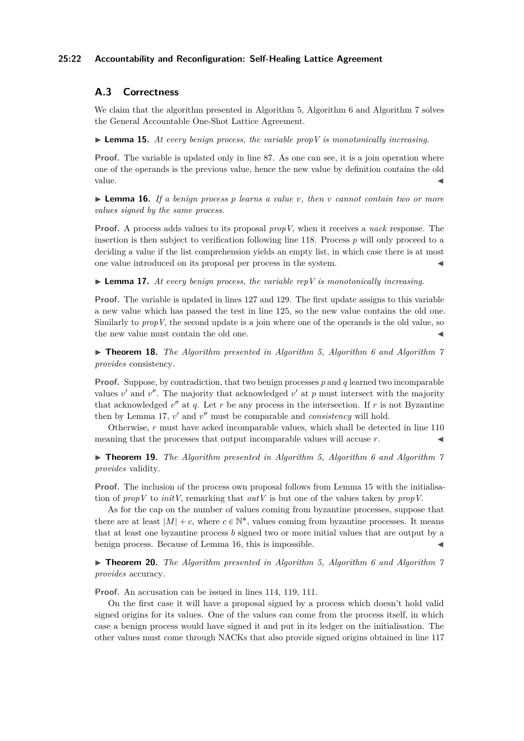## **25:22 Accountability and Reconfiguration: Self-Healing Lattice Agreement**

# **A.3 Correctness**

We claim that the algorithm presented in Algorithm [5,](#page-19-0) Algorithm [6](#page-20-0) and Algorithm [7](#page-20-1) solves the General Accountable One-Shot Lattice Agreement.

<span id="page-21-1"></span> $\blacktriangleright$  **Lemma 15.** At every benign process, the variable propV is monotonically increasing.

**Proof.** The variable is updated only in line [87.](#page-19-6) As one can see, it is a join operation where one of the operands is the previous value, hence the new value by definition contains the old  $value.$   $\triangleleft$ 

<span id="page-21-2"></span>▶ **Lemma 16.** *If a benign process p learns a value v, then v cannot contain two or more values signed by the same process.*

**Proof.** A process adds values to its proposal *propV*, when it receives a *nack* response. The insertion is then subject to verification following line [118.](#page-20-4) Process *p* will only proceed to a deciding a value if the list comprehension yields an empty list, in which case there is at most one value introduced on its proposal per process in the system.

<span id="page-21-0"></span> $\blacktriangleright$  **Lemma 17.** At every benign process, the variable repV is monotonically increasing.

**Proof.** The variable is updated in lines [127](#page-20-10) and [129.](#page-20-11) The first update assigns to this variable a new value which has passed the test in line [125,](#page-20-12) so the new value contains the old one. Similarly to  $propV$ , the second update is a join where one of the operands is the old value, so the new value must contain the old one.

<span id="page-21-3"></span>▶ **Theorem 18.** *The Algorithm presented in Algorithm [5,](#page-19-0) Algorithm [6](#page-20-0) and Algorithm [7](#page-20-1) provides* consistency*.*

**Proof.** Suppose, by contradiction, that two benign processes  $p$  and  $q$  learned two incomparable values  $v'$  and  $v''$ . The majority that acknowledged  $v'$  at  $p$  must intersect with the majority that acknowledged  $v''$  at  $q$ . Let  $r$  be any process in the intersection. If  $r$  is not Byzantine then by Lemma [17,](#page-21-0) *v'* and *v''* must be comparable and *consistency* will hold.

Otherwise, *r* must have acked incomparable values, which shall be detected in line [110](#page-20-7) meaning that the processes that output incomparable values will accuse  $r$ .

<span id="page-21-4"></span>▶ **Theorem 19.** *The Algorithm presented in Algorithm [5,](#page-19-0) Algorithm [6](#page-20-0) and Algorithm [7](#page-20-1) provides* validity*.*

**Proof.** The inclusion of the process own proposal follows from Lemma [15](#page-21-1) with the initialisation of *propV* to *initV*, remarking that *outV* is but one of the values taken by *propV*.

As for the cap on the number of values coming from byzantine processes, suppose that there are at least  $|M| + c$ , where  $c \in \mathbb{N}^*$ , values coming from byzantine processes. It means that at least one byzantine process *b* signed two or more initial values that are output by a benign process. Because of Lemma [16,](#page-21-2) this is impossible.

<span id="page-21-5"></span>▶ **Theorem 20.** *The Algorithm presented in Algorithm [5,](#page-19-0) Algorithm [6](#page-20-0) and Algorithm [7](#page-20-1) provides* accuracy*.*

**Proof.** An accusation can be issued in lines [114,](#page-20-13) [119,](#page-20-14) [111.](#page-20-15)

On the first case it will have a proposal signed by a process which doesn't hold valid signed origins for its values. One of the values can come from the process itself, in which case a benign process would have signed it and put in its ledger on the initialisation. The other values must come through NACKs that also provide signed origins obtained in line [117](#page-20-2)